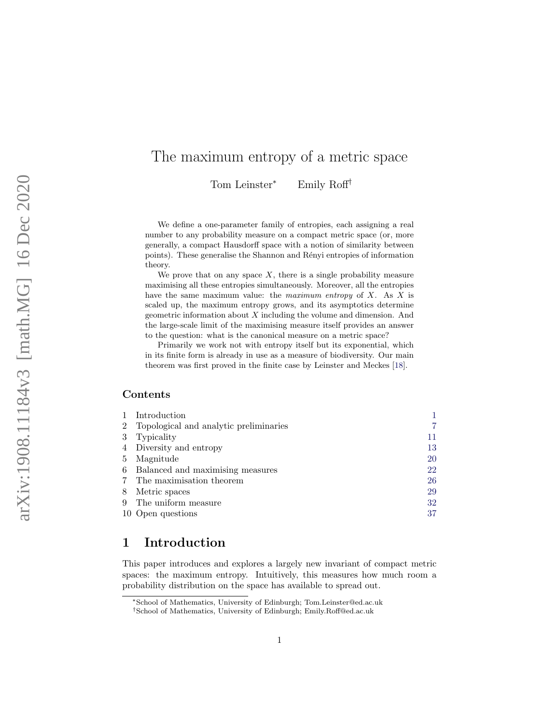# <span id="page-0-1"></span>The maximum entropy of a metric space

Tom Leinster <sup>∗</sup> Emily Roff †

We define a one-parameter family of entropies, each assigning a real number to any probability measure on a compact metric space (or, more generally, a compact Hausdorff space with a notion of similarity between points). These generalise the Shannon and Rényi entropies of information theory.

We prove that on any space  $X$ , there is a single probability measure maximising all these entropies simultaneously. Moreover, all the entropies have the same maximum value: the *maximum entropy* of  $X$ . As  $X$  is scaled up, the maximum entropy grows, and its asymptotics determine geometric information about X including the volume and dimension. And the large-scale limit of the maximising measure itself provides an answer to the question: what is the canonical measure on a metric space?

Primarily we work not with entropy itself but its exponential, which in its finite form is already in use as a measure of biodiversity. Our main theorem was first proved in the finite case by Leinster and Meckes [\[18\]](#page-37-0).

#### Contents

| 1 Introduction                           |           |
|------------------------------------------|-----------|
| 2 Topological and analytic preliminaries | 7         |
| 3 Typicality                             | 11        |
| 4 Diversity and entropy                  | 13        |
| 5 Magnitude                              | <b>20</b> |
| 6 Balanced and maximising measures       | 22        |
| 7 The maximisation theorem               | 26        |
| 8 Metric spaces                          | 29        |
| 9 The uniform measure                    | 32        |
| 10 Open questions                        | 37        |
|                                          |           |

# <span id="page-0-0"></span>1 Introduction

This paper introduces and explores a largely new invariant of compact metric spaces: the maximum entropy. Intuitively, this measures how much room a probability distribution on the space has available to spread out.

<sup>∗</sup>School of Mathematics, University of Edinburgh; Tom.Leinster@ed.ac.uk

<sup>†</sup>School of Mathematics, University of Edinburgh; Emily.Roff@ed.ac.uk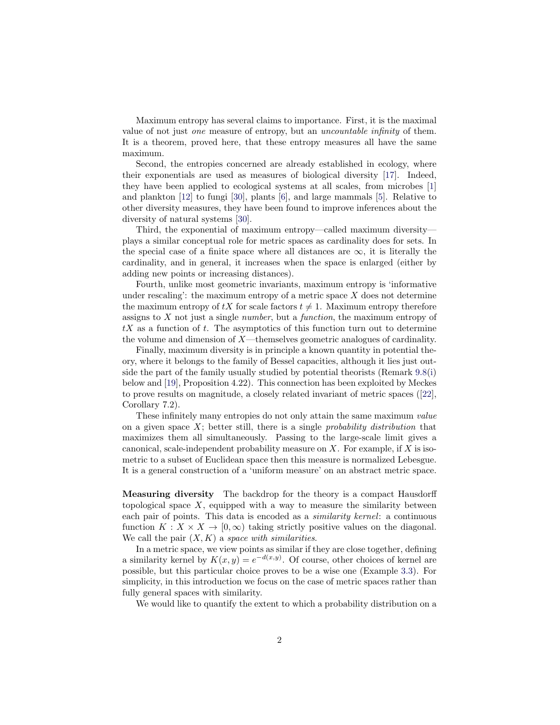Maximum entropy has several claims to importance. First, it is the maximal value of not just one measure of entropy, but an uncountable infinity of them. It is a theorem, proved here, that these entropy measures all have the same maximum.

Second, the entropies concerned are already established in ecology, where their exponentials are used as measures of biological diversity [\[17\]](#page-37-1). Indeed, they have been applied to ecological systems at all scales, from microbes [\[1\]](#page-37-2) and plankton [\[12\]](#page-37-3) to fungi [\[30\]](#page-38-0), plants [\[6\]](#page-37-4), and large mammals [\[5\]](#page-37-5). Relative to other diversity measures, they have been found to improve inferences about the diversity of natural systems [\[30\]](#page-38-0).

Third, the exponential of maximum entropy—called maximum diversity plays a similar conceptual role for metric spaces as cardinality does for sets. In the special case of a finite space where all distances are  $\infty$ , it is literally the cardinality, and in general, it increases when the space is enlarged (either by adding new points or increasing distances).

Fourth, unlike most geometric invariants, maximum entropy is 'informative under rescaling': the maximum entropy of a metric space  $X$  does not determine the maximum entropy of  $tX$  for scale factors  $t \neq 1$ . Maximum entropy therefore assigns to  $X$  not just a single *number*, but a *function*, the maximum entropy of  $tX$  as a function of t. The asymptotics of this function turn out to determine the volume and dimension of X—themselves geometric analogues of cardinality.

Finally, maximum diversity is in principle a known quantity in potential theory, where it belongs to the family of Bessel capacities, although it lies just outside the part of the family usually studied by potential theorists (Remark [9.8\(](#page-0-1)[i\)](#page-34-0) below and [\[19\]](#page-37-6), Proposition 4.22). This connection has been exploited by Meckes to prove results on magnitude, a closely related invariant of metric spaces ([\[22\]](#page-37-7), Corollary 7.2).

These infinitely many entropies do not only attain the same maximum value on a given space  $X$ ; better still, there is a single *probability distribution* that maximizes them all simultaneously. Passing to the large-scale limit gives a canonical, scale-independent probability measure on  $X$ . For example, if  $X$  is isometric to a subset of Euclidean space then this measure is normalized Lebesgue. It is a general construction of a 'uniform measure' on an abstract metric space.

Measuring diversity The backdrop for the theory is a compact Hausdorff topological space  $X$ , equipped with a way to measure the similarity between each pair of points. This data is encoded as a similarity kernel: a continuous function  $K : X \times X \to [0, \infty)$  taking strictly positive values on the diagonal. We call the pair  $(X, K)$  a space with similarities.

In a metric space, we view points as similar if they are close together, defining a similarity kernel by  $K(x, y) = e^{-d(x,y)}$ . Of course, other choices of kernel are possible, but this particular choice proves to be a wise one (Example [3.3\)](#page-10-1). For simplicity, in this introduction we focus on the case of metric spaces rather than fully general spaces with similarity.

We would like to quantify the extent to which a probability distribution on a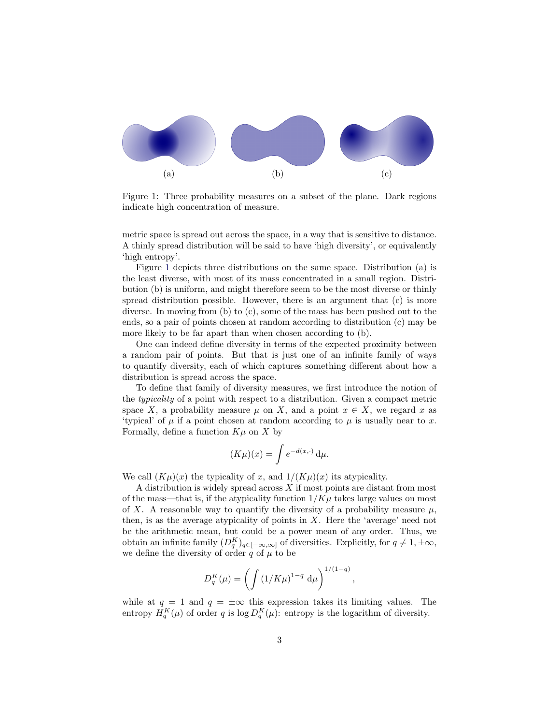

<span id="page-2-0"></span>Figure 1: Three probability measures on a subset of the plane. Dark regions indicate high concentration of measure.

metric space is spread out across the space, in a way that is sensitive to distance. A thinly spread distribution will be said to have 'high diversity', or equivalently 'high entropy'.

Figure [1](#page-2-0) depicts three distributions on the same space. Distribution (a) is the least diverse, with most of its mass concentrated in a small region. Distribution (b) is uniform, and might therefore seem to be the most diverse or thinly spread distribution possible. However, there is an argument that (c) is more diverse. In moving from (b) to (c), some of the mass has been pushed out to the ends, so a pair of points chosen at random according to distribution (c) may be more likely to be far apart than when chosen according to (b).

One can indeed define diversity in terms of the expected proximity between a random pair of points. But that is just one of an infinite family of ways to quantify diversity, each of which captures something different about how a distribution is spread across the space.

To define that family of diversity measures, we first introduce the notion of the typicality of a point with respect to a distribution. Given a compact metric space X, a probability measure  $\mu$  on X, and a point  $x \in X$ , we regard x as 'typical' of  $\mu$  if a point chosen at random according to  $\mu$  is usually near to x. Formally, define a function  $K\mu$  on X by

$$
(K\mu)(x) = \int e^{-d(x,\cdot)} d\mu.
$$

We call  $(K\mu)(x)$  the typicality of x, and  $1/(K\mu)(x)$  its atypicality.

A distribution is widely spread across X if most points are distant from most of the mass—that is, if the atypicality function  $1/K\mu$  takes large values on most of X. A reasonable way to quantify the diversity of a probability measure  $\mu$ , then, is as the average atypicality of points in  $X$ . Here the 'average' need not be the arithmetic mean, but could be a power mean of any order. Thus, we obtain an infinite family  $(D_q^K)_{q \in [-\infty,\infty]}$  of diversities. Explicitly, for  $q \neq 1, \pm \infty$ , we define the diversity of order  $q$  of  $\mu$  to be

$$
D_q^K(\mu) = \left( \int \left(1/K\mu\right)^{1-q} d\mu \right)^{1/(1-q)},
$$

while at  $q = 1$  and  $q = \pm \infty$  this expression takes its limiting values. The entropy  $H_q^K(\mu)$  of order q is  $\log D_q^K(\mu)$ : entropy is the logarithm of diversity.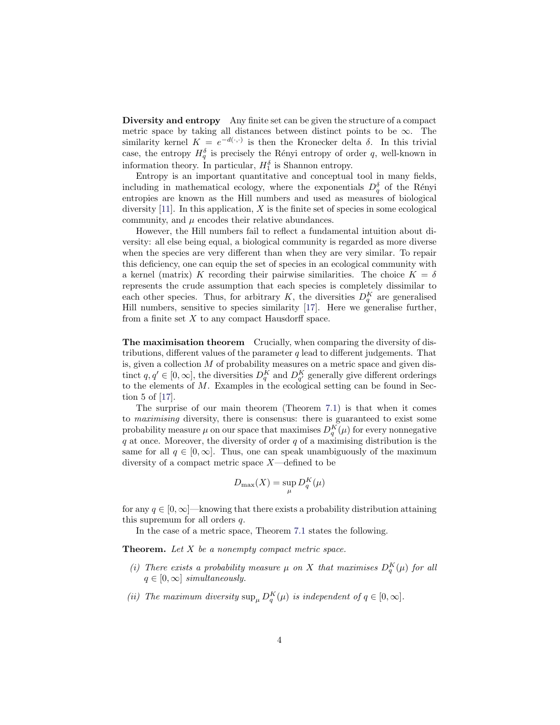Diversity and entropy Any finite set can be given the structure of a compact metric space by taking all distances between distinct points to be  $\infty$ . The similarity kernel  $K = e^{-d(\cdot, \cdot)}$  is then the Kronecker delta  $\delta$ . In this trivial case, the entropy  $H_q^{\delta}$  is precisely the Rényi entropy of order q, well-known in information theory. In particular,  $H_1^{\delta}$  is Shannon entropy.

Entropy is an important quantitative and conceptual tool in many fields, including in mathematical ecology, where the exponentials  $D_q^{\delta}$  of the Rényi entropies are known as the Hill numbers and used as measures of biological diversity  $[11]$ . In this application, X is the finite set of species in some ecological community, and  $\mu$  encodes their relative abundances.

However, the Hill numbers fail to reflect a fundamental intuition about diversity: all else being equal, a biological community is regarded as more diverse when the species are very different than when they are very similar. To repair this deficiency, one can equip the set of species in an ecological community with a kernel (matrix) K recording their pairwise similarities. The choice  $K = \delta$ represents the crude assumption that each species is completely dissimilar to each other species. Thus, for arbitrary K, the diversities  $D_q^K$  are generalised Hill numbers, sensitive to species similarity [\[17\]](#page-37-1). Here we generalise further, from a finite set  $X$  to any compact Hausdorff space.

The maximisation theorem Crucially, when comparing the diversity of distributions, different values of the parameter  $q$  lead to different judgements. That is, given a collection M of probability measures on a metric space and given distinct  $q, q' \in [0, \infty]$ , the diversities  $D_q^K$  and  $D_{q'}^K$  generally give different orderings to the elements of M. Examples in the ecological setting can be found in Section 5 of [\[17\]](#page-37-1).

The surprise of our main theorem (Theorem [7.1\)](#page-25-1) is that when it comes to maximising diversity, there is consensus: there is guaranteed to exist some probability measure  $\mu$  on our space that maximises  $D_q^K(\mu)$  for every nonnegative  $q$  at once. Moreover, the diversity of order  $q$  of a maximising distribution is the same for all  $q \in [0,\infty]$ . Thus, one can speak unambiguously of the maximum diversity of a compact metric space  $X$ —defined to be

$$
D_{\max}(X) = \sup_{\mu} D_q^K(\mu)
$$

for any  $q \in [0, \infty]$ —knowing that there exists a probability distribution attaining this supremum for all orders q.

In the case of a metric space, Theorem [7.1](#page-25-1) states the following.

**Theorem.** Let  $X$  be a nonempty compact metric space.

- (i) There exists a probability measure  $\mu$  on X that maximises  $D_q^K(\mu)$  for all  $q \in [0,\infty]$  simultaneously.
- (ii) The maximum diversity  $\sup_{\mu} D_q^K(\mu)$  is independent of  $q \in [0, \infty]$ .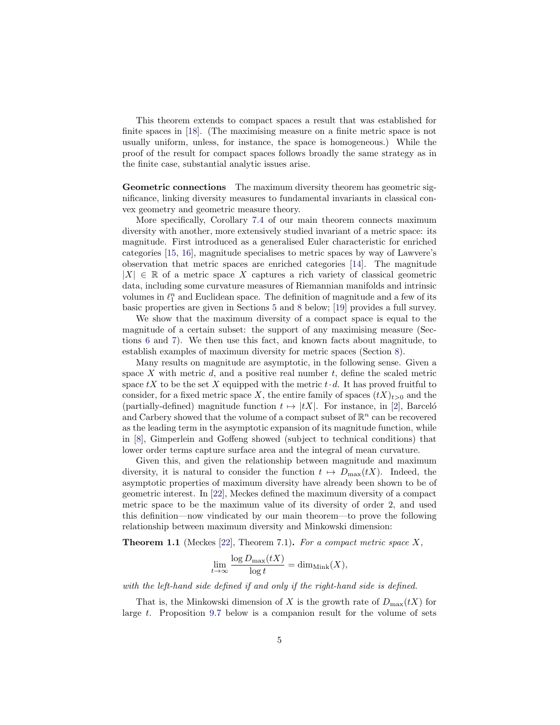This theorem extends to compact spaces a result that was established for finite spaces in [\[18\]](#page-37-0). (The maximising measure on a finite metric space is not usually uniform, unless, for instance, the space is homogeneous.) While the proof of the result for compact spaces follows broadly the same strategy as in the finite case, substantial analytic issues arise.

Geometric connections The maximum diversity theorem has geometric significance, linking diversity measures to fundamental invariants in classical convex geometry and geometric measure theory.

More specifically, Corollary [7.4](#page-26-0) of our main theorem connects maximum diversity with another, more extensively studied invariant of a metric space: its magnitude. First introduced as a generalised Euler characteristic for enriched categories [\[15,](#page-37-9) [16\]](#page-37-10), magnitude specialises to metric spaces by way of Lawvere's observation that metric spaces are enriched categories [\[14\]](#page-37-11). The magnitude  $|X| \in \mathbb{R}$  of a metric space X captures a rich variety of classical geometric data, including some curvature measures of Riemannian manifolds and intrinsic volumes in  $\ell_1^n$  and Euclidean space. The definition of magnitude and a few of its basic properties are given in Sections [5](#page-19-0) and [8](#page-28-0) below; [\[19\]](#page-37-6) provides a full survey.

We show that the maximum diversity of a compact space is equal to the magnitude of a certain subset: the support of any maximising measure (Sections [6](#page-21-0) and [7\)](#page-25-0). We then use this fact, and known facts about magnitude, to establish examples of maximum diversity for metric spaces (Section [8\)](#page-28-0).

Many results on magnitude are asymptotic, in the following sense. Given a space  $X$  with metric  $d$ , and a positive real number  $t$ , define the scaled metric space  $tX$  to be the set X equipped with the metric  $t \cdot d$ . It has proved fruitful to consider, for a fixed metric space X, the entire family of spaces  $(tX)_{t>0}$  and the (partially-defined) magnitude function  $t \mapsto |tX|$ . For instance, in [\[2\]](#page-37-12), Barceló and Carbery showed that the volume of a compact subset of  $\mathbb{R}^n$  can be recovered as the leading term in the asymptotic expansion of its magnitude function, while in [\[8\]](#page-37-13), Gimperlein and Goffeng showed (subject to technical conditions) that lower order terms capture surface area and the integral of mean curvature.

Given this, and given the relationship between magnitude and maximum diversity, it is natural to consider the function  $t \mapsto D_{\max}(tX)$ . Indeed, the asymptotic properties of maximum diversity have already been shown to be of geometric interest. In [\[22\]](#page-37-7), Meckes defined the maximum diversity of a compact metric space to be the maximum value of its diversity of order 2, and used this definition—now vindicated by our main theorem—to prove the following relationship between maximum diversity and Minkowski dimension:

<span id="page-4-0"></span>**Theorem 1.1** (Meckes [\[22\]](#page-37-7), Theorem 7.1). For a compact metric space  $X$ ,

$$
\lim_{t \to \infty} \frac{\log D_{\max}(tX)}{\log t} = \dim_{\text{Mink}}(X),
$$

with the left-hand side defined if and only if the right-hand side is defined.

That is, the Minkowski dimension of X is the growth rate of  $D_{\text{max}}(tX)$  for large t. Proposition [9.7](#page-33-0) below is a companion result for the volume of sets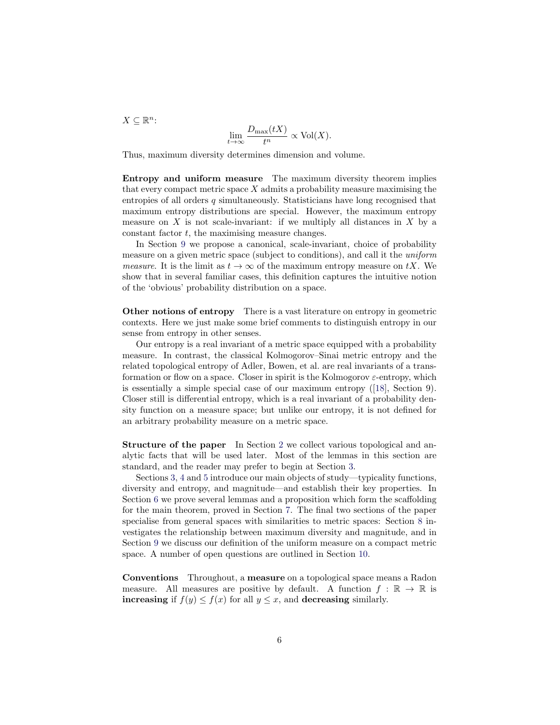$X \subseteq \mathbb{R}^n$ :

$$
\lim_{t \to \infty} \frac{D_{\max}(tX)}{t^n} \propto \text{Vol}(X).
$$

Thus, maximum diversity determines dimension and volume.

Entropy and uniform measure The maximum diversity theorem implies that every compact metric space  $X$  admits a probability measure maximising the entropies of all orders  $q$  simultaneously. Statisticians have long recognised that maximum entropy distributions are special. However, the maximum entropy measure on  $X$  is not scale-invariant: if we multiply all distances in  $X$  by a constant factor t, the maximising measure changes.

In Section [9](#page-31-0) we propose a canonical, scale-invariant, choice of probability measure on a given metric space (subject to conditions), and call it the uniform *measure.* It is the limit as  $t \to \infty$  of the maximum entropy measure on tX. We show that in several familiar cases, this definition captures the intuitive notion of the 'obvious' probability distribution on a space.

Other notions of entropy There is a vast literature on entropy in geometric contexts. Here we just make some brief comments to distinguish entropy in our sense from entropy in other senses.

Our entropy is a real invariant of a metric space equipped with a probability measure. In contrast, the classical Kolmogorov–Sinai metric entropy and the related topological entropy of Adler, Bowen, et al. are real invariants of a transformation or flow on a space. Closer in spirit is the Kolmogorov  $\varepsilon$ -entropy, which is essentially a simple special case of our maximum entropy ([\[18\]](#page-37-0), Section 9). Closer still is differential entropy, which is a real invariant of a probability density function on a measure space; but unlike our entropy, it is not defined for an arbitrary probability measure on a metric space.

Structure of the paper In Section [2](#page-6-0) we collect various topological and analytic facts that will be used later. Most of the lemmas in this section are standard, and the reader may prefer to begin at Section [3.](#page-10-0)

Sections [3,](#page-10-0) [4](#page-12-0) and [5](#page-19-0) introduce our main objects of study—typicality functions, diversity and entropy, and magnitude—and establish their key properties. In Section [6](#page-21-0) we prove several lemmas and a proposition which form the scaffolding for the main theorem, proved in Section [7.](#page-25-0) The final two sections of the paper specialise from general spaces with similarities to metric spaces: Section [8](#page-28-0) investigates the relationship between maximum diversity and magnitude, and in Section [9](#page-31-0) we discuss our definition of the uniform measure on a compact metric space. A number of open questions are outlined in Section [10.](#page-36-0)

Conventions Throughout, a measure on a topological space means a Radon measure. All measures are positive by default. A function  $f : \mathbb{R} \to \mathbb{R}$  is increasing if  $f(y) \leq f(x)$  for all  $y \leq x$ , and decreasing similarly.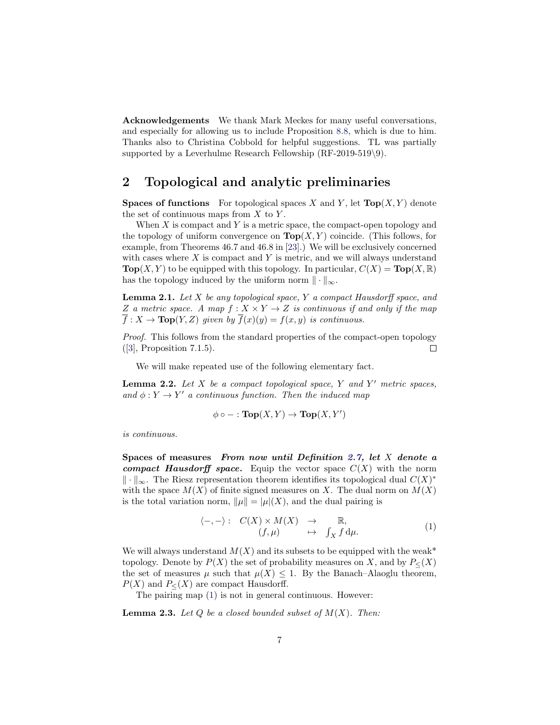Acknowledgements We thank Mark Meckes for many useful conversations, and especially for allowing us to include Proposition [8.8,](#page-31-1) which is due to him. Thanks also to Christina Cobbold for helpful suggestions. TL was partially supported by a Leverhulme Research Fellowship  $(RF-2019-519\)$ .

#### <span id="page-6-0"></span>2 Topological and analytic preliminaries

**Spaces of functions** For topological spaces X and Y, let  $\text{Top}(X, Y)$  denote the set of continuous maps from  $X$  to  $Y$ .

When  $X$  is compact and  $Y$  is a metric space, the compact-open topology and the topology of uniform convergence on  $\text{Top}(X, Y)$  coincide. (This follows, for example, from Theorems 46.7 and 46.8 in [\[23\]](#page-37-14).) We will be exclusively concerned with cases where  $X$  is compact and  $Y$  is metric, and we will always understand  $\text{Top}(X, Y)$  to be equipped with this topology. In particular,  $C(X) = \text{Top}(X, \mathbb{R})$ has the topology induced by the uniform norm  $\|\cdot\|_{\infty}$ .

<span id="page-6-2"></span>**Lemma 2.1.** Let  $X$  be any topological space,  $Y$  a compact Hausdorff space, and Z a metric space. A map  $f: X \times Y \to Z$  is continuous if and only if the map  $\overline{f}$ :  $X \to \text{Top}(Y, Z)$  given by  $\overline{f}(x)(y) = f(x, y)$  is continuous.

Proof. This follows from the standard properties of the compact-open topology ([\[3\]](#page-37-15), Proposition 7.1.5).  $\Box$ 

We will make repeated use of the following elementary fact.

<span id="page-6-4"></span>**Lemma 2.2.** Let  $X$  be a compact topological space,  $Y$  and  $Y'$  metric spaces, and  $\phi: Y \to Y'$  a continuous function. Then the induced map

$$
\phi \circ - : \textbf{Top}(X, Y) \to \textbf{Top}(X, Y')
$$

is continuous.

Spaces of measures From now until Definition [2.7,](#page-8-0) let X denote a compact Hausdorff space. Equip the vector space  $C(X)$  with the norm  $\|\cdot\|_{\infty}$ . The Riesz representation theorem identifies its topological dual  $C(X)^*$ with the space  $M(X)$  of finite signed measures on X. The dual norm on  $M(X)$ is the total variation norm,  $\|\mu\| = |\mu|(X)$ , and the dual pairing is

<span id="page-6-1"></span>
$$
\begin{array}{rcl}\n\langle -, - \rangle: & C(X) \times M(X) & \to & \mathbb{R}, \\
(f, \mu) & \mapsto & \int_X f \, \mathrm{d}\mu.\n\end{array} \tag{1}
$$

We will always understand  $M(X)$  and its subsets to be equipped with the weak\* topology. Denote by  $P(X)$  the set of probability measures on X, and by  $P_{\leq}(X)$ the set of measures  $\mu$  such that  $\mu(X) \leq 1$ . By the Banach–Alaoglu theorem,  $P(X)$  and  $P_{<}$  are compact Hausdorff.

The pairing map [\(1\)](#page-6-1) is not in general continuous. However:

<span id="page-6-3"></span>**Lemma 2.3.** Let  $Q$  be a closed bounded subset of  $M(X)$ . Then: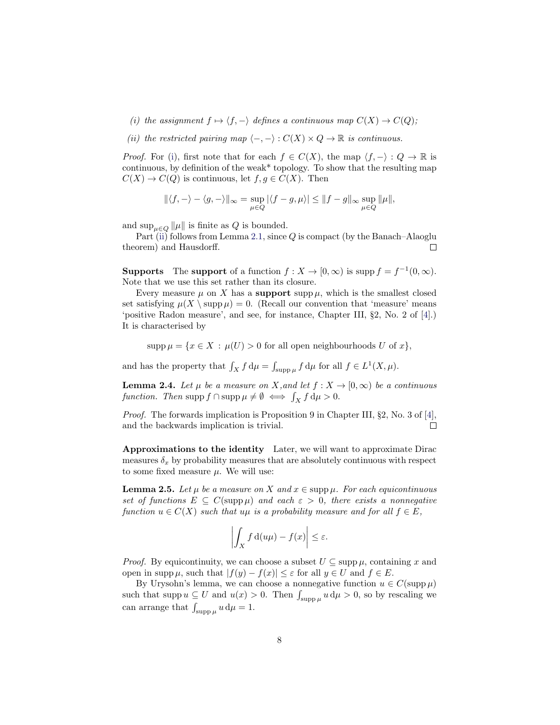<span id="page-7-0"></span>(i) the assignment  $f \mapsto \langle f, - \rangle$  defines a continuous map  $C(X) \to C(Q)$ ;

<span id="page-7-1"></span>(ii) the restricted pairing map  $\langle -, - \rangle : C(X) \times Q \to \mathbb{R}$  is continuous.

*Proof.* For [\(i\)](#page-7-0), first note that for each  $f \in C(X)$ , the map  $\langle f, -\rangle : Q \to \mathbb{R}$  is continuous, by definition of the weak\* topology. To show that the resulting map  $C(X) \to C(Q)$  is continuous, let  $f, g \in C(X)$ . Then

$$
\|\langle f, -\rangle - \langle g, -\rangle\|_{\infty} = \sup_{\mu \in Q} |\langle f - g, \mu \rangle| \le \|f - g\|_{\infty} \sup_{\mu \in Q} \|\mu\|,
$$

and  $\sup_{\mu \in Q} ||\mu||$  is finite as Q is bounded.

Part [\(ii\)](#page-7-1) follows from Lemma [2.1,](#page-6-2) since  $Q$  is compact (by the Banach–Alaoglu theorem) and Hausdorff.  $\Box$ 

**Supports** The **support** of a function  $f: X \to [0, \infty)$  is supp  $f = f^{-1}(0, \infty)$ . Note that we use this set rather than its closure.

Every measure  $\mu$  on X has a **support** supp  $\mu$ , which is the smallest closed set satisfying  $\mu(X \setminus \text{supp }\mu) = 0$ . (Recall our convention that 'measure' means 'positive Radon measure', and see, for instance, Chapter III, §2, No. 2 of [\[4\]](#page-37-16).) It is characterised by

 $\text{supp }\mu = \{x \in X : \mu(U) > 0 \text{ for all open neighborhoods } U \text{ of } x\},\$ 

and has the property that  $\int_X f d\mu = \int_{\text{supp}\,\mu} f d\mu$  for all  $f \in L^1(X, \mu)$ .

<span id="page-7-2"></span>**Lemma 2.4.** Let  $\mu$  be a measure on X, and let  $f : X \to [0, \infty)$  be a continuous function. Then supp  $f \cap \text{supp} \mu \neq \emptyset \iff \int_X f d\mu > 0.$ 

Proof. The forwards implication is Proposition 9 in Chapter III, §2, No. 3 of [\[4\]](#page-37-16), and the backwards implication is trivial.  $\Box$ 

Approximations to the identity Later, we will want to approximate Dirac measures  $\delta_x$  by probability measures that are absolutely continuous with respect to some fixed measure  $\mu$ . We will use:

<span id="page-7-3"></span>**Lemma 2.5.** Let  $\mu$  be a measure on X and  $x \in \text{supp }\mu$ . For each equicontinuous set of functions  $E \subseteq C(\text{supp }\mu)$  and each  $\varepsilon > 0$ , there exists a nonnegative function  $u \in C(X)$  such that  $u\mu$  is a probability measure and for all  $f \in E$ ,

$$
\left| \int_X f \, \mathrm{d}(u\mu) - f(x) \right| \le \varepsilon.
$$

*Proof.* By equicontinuity, we can choose a subset  $U \subseteq \text{supp }\mu$ , containing x and open in supp  $\mu$ , such that  $|f(y) - f(x)| \leq \varepsilon$  for all  $y \in U$  and  $f \in E$ .

By Urysohn's lemma, we can choose a nonnegative function  $u \in C(\text{supp}\,\mu)$ such that supp  $u \subseteq U$  and  $u(x) > 0$ . Then  $\int_{\text{supp }\mu} u \, d\mu > 0$ , so by rescaling we can arrange that  $\int_{\text{supp}\,\mu} u \,d\mu = 1$ .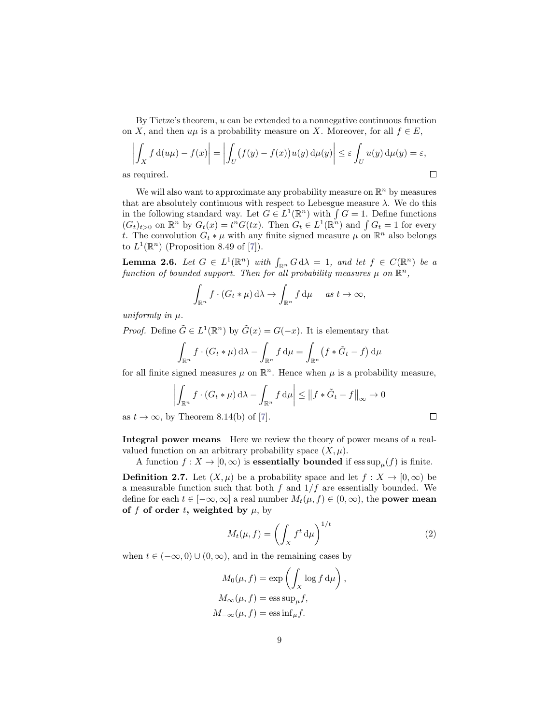By Tietze's theorem, u can be extended to a nonnegative continuous function on X, and then  $u\mu$  is a probability measure on X. Moreover, for all  $f \in E$ ,

$$
\left| \int_X f d(u\mu) - f(x) \right| = \left| \int_U (f(y) - f(x)) u(y) d\mu(y) \right| \le \varepsilon \int_U u(y) d\mu(y) = \varepsilon,
$$
  
required.

We will also want to approximate any probability measure on  $\mathbb{R}^n$  by measures that are absolutely continuous with respect to Lebesgue measure  $\lambda$ . We do this in the following standard way. Let  $G \in L^1(\mathbb{R}^n)$  with  $\int G = 1$ . Define functions  $(G_t)_{t>0}$  on  $\mathbb{R}^n$  by  $G_t(x) = t^n G(tx)$ . Then  $G_t \in L^1(\mathbb{R}^n)$  and  $\int G_t = 1$  for every t. The convolution  $G_t * \mu$  with any finite signed measure  $\mu$  on  $\mathbb{R}^n$  also belongs to  $L^1(\mathbb{R}^n)$  (Proposition 8.49 of [\[7\]](#page-37-17)).

<span id="page-8-1"></span>**Lemma 2.6.** Let  $G \in L^1(\mathbb{R}^n)$  with  $\int_{\mathbb{R}^n} G d\lambda = 1$ , and let  $f \in C(\mathbb{R}^n)$  be a function of bounded support. Then for all probability measures  $\mu$  on  $\mathbb{R}^n$ ,

$$
\int_{\mathbb{R}^n} f \cdot (G_t * \mu) d\lambda \to \int_{\mathbb{R}^n} f d\mu \quad \text{as } t \to \infty,
$$

uniformly in  $\mu$ .

 $as$ 

*Proof.* Define  $\tilde{G} \in L^1(\mathbb{R}^n)$  by  $\tilde{G}(x) = G(-x)$ . It is elementary that

$$
\int_{\mathbb{R}^n} f \cdot (G_t * \mu) d\lambda - \int_{\mathbb{R}^n} f d\mu = \int_{\mathbb{R}^n} (f * \tilde{G}_t - f) d\mu
$$

for all finite signed measures  $\mu$  on  $\mathbb{R}^n$ . Hence when  $\mu$  is a probability measure,

$$
\left| \int_{\mathbb{R}^n} f \cdot (G_t * \mu) d\lambda - \int_{\mathbb{R}^n} f d\mu \right| \leq \left\| f * \tilde{G}_t - f \right\|_{\infty} \to 0
$$

as  $t \to \infty$ , by Theorem 8.14(b) of [\[7\]](#page-37-17).

Integral power means Here we review the theory of power means of a realvalued function on an arbitrary probability space  $(X, \mu)$ .

A function  $f: X \to [0, \infty)$  is essentially bounded if  $\operatorname{ess \, sup}_{\mu}(f)$  is finite.

<span id="page-8-0"></span>**Definition 2.7.** Let  $(X, \mu)$  be a probability space and let  $f : X \to [0, \infty)$  be a measurable function such that both  $f$  and  $1/f$  are essentially bounded. We define for each  $t \in [-\infty, \infty]$  a real number  $M_t(\mu, f) \in (0, \infty)$ , the **power mean** of f of order t, weighted by  $\mu$ , by

$$
M_t(\mu, f) = \left(\int_X f^t \, \mathrm{d}\mu\right)^{1/t} \tag{2}
$$

,

 $\Box$ 

when  $t \in (-\infty, 0) \cup (0, \infty)$ , and in the remaining cases by

$$
M_0(\mu, f) = \exp\left(\int_X \log f \, d\mu\right)
$$

$$
M_\infty(\mu, f) = \operatorname{ess\,sup}_{\mu} f,
$$

$$
M_{-\infty}(\mu, f) = \operatorname{ess\,inf}_{\mu} f.
$$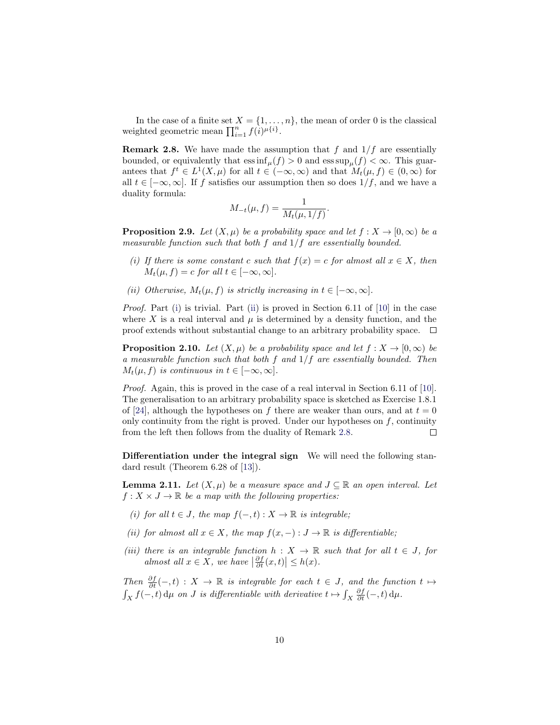In the case of a finite set  $X = \{1, \ldots, n\}$ , the mean of order 0 is the classical weighted geometric mean  $\prod_{i=1}^{n} f(i)^{\mu\{i\}}$ .

<span id="page-9-2"></span>**Remark 2.8.** We have made the assumption that f and  $1/f$  are essentially bounded, or equivalently that  $\operatorname{ess\,inf}_{\mu}(f) > 0$  and  $\operatorname{ess\,sup}_{\mu}(f) < \infty$ . This guarantees that  $f^t \in L^1(X,\mu)$  for all  $t \in (-\infty,\infty)$  and that  $M_t(\mu, f) \in (0,\infty)$  for all  $t \in [-\infty, \infty]$ . If f satisfies our assumption then so does  $1/f$ , and we have a duality formula:

$$
M_{-t}(\mu, f) = \frac{1}{M_t(\mu, 1/f)}.
$$

<span id="page-9-4"></span>**Proposition 2.9.** Let  $(X, \mu)$  be a probability space and let  $f : X \to [0, \infty)$  be a measurable function such that both  $f$  and  $1/f$  are essentially bounded.

- <span id="page-9-0"></span>(i) If there is some constant c such that  $f(x) = c$  for almost all  $x \in X$ , then  $M_t(\mu, f) = c$  for all  $t \in [-\infty, \infty]$ .
- <span id="page-9-1"></span>(ii) Otherwise,  $M_t(\mu, f)$  is strictly increasing in  $t \in [-\infty, \infty]$ .

*Proof.* Part [\(i\)](#page-9-0) is trivial. Part [\(ii\)](#page-9-1) is proved in Section 6.11 of [\[10\]](#page-37-18) in the case where X is a real interval and  $\mu$  is determined by a density function, and the proof extends without substantial change to an arbitrary probability space.  $\Box$ 

<span id="page-9-3"></span>**Proposition 2.10.** Let  $(X, \mu)$  be a probability space and let  $f : X \to [0, \infty)$  be a measurable function such that both f and  $1/f$  are essentially bounded. Then  $M_t(\mu, f)$  is continuous in  $t \in [-\infty, \infty]$ .

Proof. Again, this is proved in the case of a real interval in Section 6.11 of [\[10\]](#page-37-18). The generalisation to an arbitrary probability space is sketched as Exercise 1.8.1 of [\[24\]](#page-38-1), although the hypotheses on f there are weaker than ours, and at  $t = 0$ only continuity from the right is proved. Under our hypotheses on  $f$ , continuity from the left then follows from the duality of Remark [2.8.](#page-9-2)  $\Box$ 

Differentiation under the integral sign We will need the following stan-dard result (Theorem 6.28 of [\[13\]](#page-37-19)).

<span id="page-9-5"></span>**Lemma 2.11.** Let  $(X, \mu)$  be a measure space and  $J \subseteq \mathbb{R}$  an open interval. Let  $f: X \times J \to \mathbb{R}$  be a map with the following properties:

- <span id="page-9-6"></span>(i) for all  $t \in J$ , the map  $f(-, t) : X \to \mathbb{R}$  is integrable;
- <span id="page-9-7"></span>(ii) for almost all  $x \in X$ , the map  $f(x, -): J \to \mathbb{R}$  is differentiable;
- <span id="page-9-8"></span>(iii) there is an integrable function  $h: X \to \mathbb{R}$  such that for all  $t \in J$ , for almost all  $x \in \overline{X}$ , we have  $\left| \frac{\partial f}{\partial t}(x,t) \right| \leq h(x)$ .

Then  $\frac{\partial f}{\partial t}(-,t) : X \to \mathbb{R}$  is integrable for each  $t \in J$ , and the function  $t \mapsto$  $\int_X f(-,t) d\mu$  on J is differentiable with derivative  $t \mapsto \int_X \frac{\partial f}{\partial t}(-,t) d\mu$ .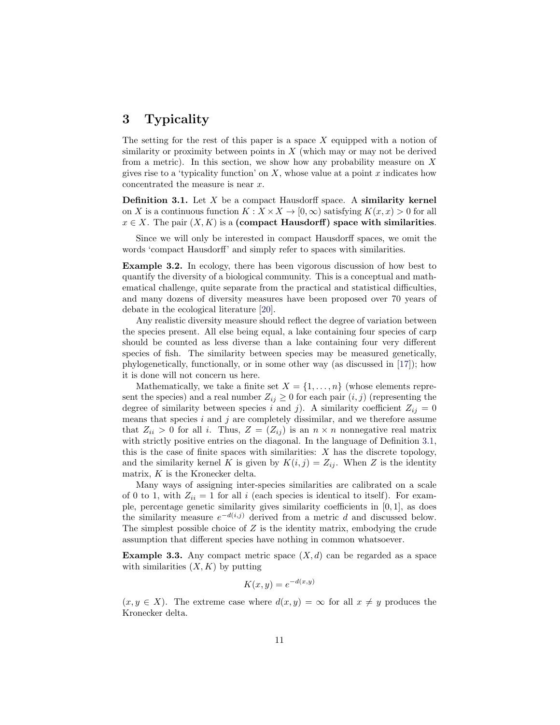## <span id="page-10-0"></span>3 Typicality

The setting for the rest of this paper is a space  $X$  equipped with a notion of similarity or proximity between points in  $X$  (which may or may not be derived from a metric). In this section, we show how any probability measure on  $X$ gives rise to a 'typicality function' on  $X$ , whose value at a point  $x$  indicates how concentrated the measure is near x.

<span id="page-10-2"></span>**Definition 3.1.** Let  $X$  be a compact Hausdorff space. A similarity kernel on X is a continuous function  $K : X \times X \to [0, \infty)$  satisfying  $K(x, x) > 0$  for all  $x \in X$ . The pair  $(X, K)$  is a (compact Hausdorff) space with similarities.

Since we will only be interested in compact Hausdorff spaces, we omit the words 'compact Hausdorff' and simply refer to spaces with similarities.

<span id="page-10-3"></span>Example 3.2. In ecology, there has been vigorous discussion of how best to quantify the diversity of a biological community. This is a conceptual and mathematical challenge, quite separate from the practical and statistical difficulties, and many dozens of diversity measures have been proposed over 70 years of debate in the ecological literature [\[20\]](#page-37-20).

Any realistic diversity measure should reflect the degree of variation between the species present. All else being equal, a lake containing four species of carp should be counted as less diverse than a lake containing four very different species of fish. The similarity between species may be measured genetically, phylogenetically, functionally, or in some other way (as discussed in [\[17\]](#page-37-1)); how it is done will not concern us here.

Mathematically, we take a finite set  $X = \{1, \ldots, n\}$  (whose elements represent the species) and a real number  $Z_{ij} \geq 0$  for each pair  $(i, j)$  (representing the degree of similarity between species i and j). A similarity coefficient  $Z_{ij} = 0$ means that species  $i$  and  $j$  are completely dissimilar, and we therefore assume that  $Z_{ii} > 0$  for all i. Thus,  $Z = (Z_{ij})$  is an  $n \times n$  nonnegative real matrix with strictly positive entries on the diagonal. In the language of Definition [3.1,](#page-10-2) this is the case of finite spaces with similarities:  $X$  has the discrete topology, and the similarity kernel K is given by  $K(i, j) = Z_{ij}$ . When Z is the identity matrix, K is the Kronecker delta.

Many ways of assigning inter-species similarities are calibrated on a scale of 0 to 1, with  $Z_{ii} = 1$  for all i (each species is identical to itself). For example, percentage genetic similarity gives similarity coefficients in [0, 1], as does the similarity measure  $e^{-d(i,j)}$  derived from a metric d and discussed below. The simplest possible choice of Z is the identity matrix, embodying the crude assumption that different species have nothing in common whatsoever.

<span id="page-10-1"></span>**Example 3.3.** Any compact metric space  $(X, d)$  can be regarded as a space with similarities  $(X, K)$  by putting

$$
K(x, y) = e^{-d(x, y)}
$$

 $(x, y \in X)$ . The extreme case where  $d(x, y) = \infty$  for all  $x \neq y$  produces the Kronecker delta.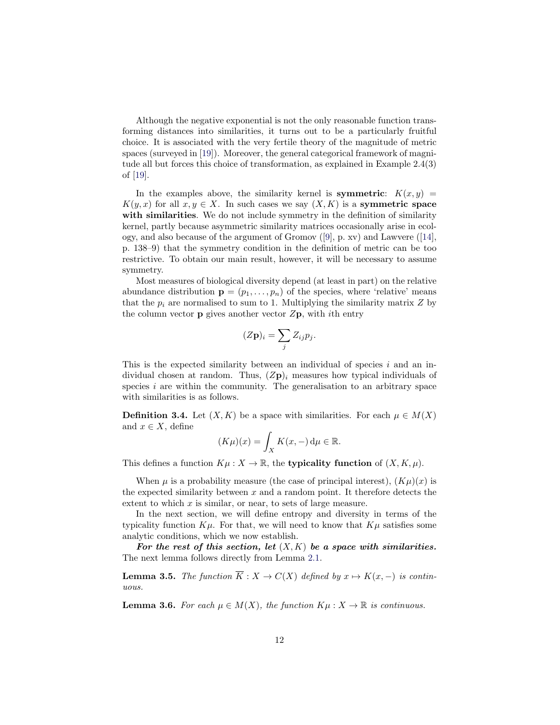Although the negative exponential is not the only reasonable function transforming distances into similarities, it turns out to be a particularly fruitful choice. It is associated with the very fertile theory of the magnitude of metric spaces (surveyed in [\[19\]](#page-37-6)). Moreover, the general categorical framework of magnitude all but forces this choice of transformation, as explained in Example 2.4(3) of [\[19\]](#page-37-6).

In the examples above, the similarity kernel is **symmetric**:  $K(x, y) =$  $K(y, x)$  for all  $x, y \in X$ . In such cases we say  $(X, K)$  is a **symmetric space** with similarities. We do not include symmetry in the definition of similarity kernel, partly because asymmetric similarity matrices occasionally arise in ecology, and also because of the argument of Gromov ([\[9\]](#page-37-21), p. xv) and Lawvere ([\[14\]](#page-37-11), p. 138–9) that the symmetry condition in the definition of metric can be too restrictive. To obtain our main result, however, it will be necessary to assume symmetry.

Most measures of biological diversity depend (at least in part) on the relative abundance distribution  $\mathbf{p} = (p_1, \ldots, p_n)$  of the species, where 'relative' means that the  $p_i$  are normalised to sum to 1. Multiplying the similarity matrix Z by the column vector **p** gives another vector  $Z_{\textbf{p}}$ , with ith entry

$$
(Z\mathbf{p})_i = \sum_j Z_{ij} p_j.
$$

This is the expected similarity between an individual of species  $i$  and an individual chosen at random. Thus,  $(Z\mathbf{p})_i$  measures how typical individuals of species  $i$  are within the community. The generalisation to an arbitrary space with similarities is as follows.

**Definition 3.4.** Let  $(X, K)$  be a space with similarities. For each  $\mu \in M(X)$ and  $x \in X$ , define

$$
(K\mu)(x) = \int_X K(x, -) \, \mathrm{d}\mu \in \mathbb{R}.
$$

This defines a function  $K\mu : X \to \mathbb{R}$ , the **typicality function** of  $(X, K, \mu)$ .

When  $\mu$  is a probability measure (the case of principal interest),  $(K\mu)(x)$  is the expected similarity between  $x$  and a random point. It therefore detects the extent to which  $x$  is similar, or near, to sets of large measure.

In the next section, we will define entropy and diversity in terms of the typicality function  $K\mu$ . For that, we will need to know that  $K\mu$  satisfies some analytic conditions, which we now establish.

For the rest of this section, let  $(X, K)$  be a space with similarities. The next lemma follows directly from Lemma [2.1.](#page-6-2)

<span id="page-11-0"></span>**Lemma 3.5.** The function  $\overline{K}: X \to C(X)$  defined by  $x \mapsto K(x, -)$  is continuous.

<span id="page-11-1"></span>**Lemma 3.6.** For each  $\mu \in M(X)$ , the function  $K\mu : X \to \mathbb{R}$  is continuous.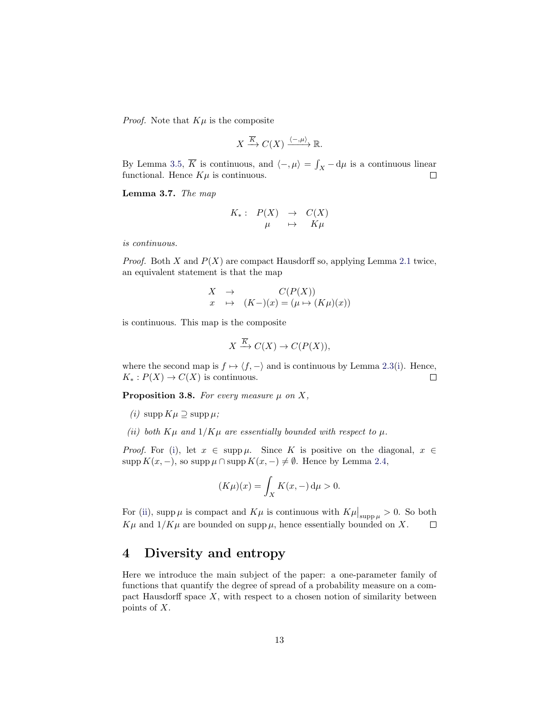*Proof.* Note that  $K\mu$  is the composite

$$
X \xrightarrow{\overline{K}} C(X) \xrightarrow{\langle -,\mu \rangle} \mathbb{R}.
$$

By Lemma [3.5,](#page-11-0)  $\overline{K}$  is continuous, and  $\langle -, \mu \rangle = \int_X -d\mu$  is a continuous linear functional. Hence  $K\mu$  is continuous.

<span id="page-12-4"></span>Lemma 3.7. The map

$$
\begin{array}{rccc}\nK_{*}:&P(X)&\to&C(X)\\
\mu&\mapsto&K\mu\n\end{array}
$$

is continuous.

*Proof.* Both X and  $P(X)$  are compact Hausdorff so, applying Lemma [2.1](#page-6-2) twice, an equivalent statement is that the map

$$
\begin{array}{ccc}\nX & \to & C(P(X)) \\
x & \mapsto & (K-) (x) = (\mu \mapsto (K\mu)(x))\n\end{array}
$$

is continuous. This map is the composite

$$
X \xrightarrow{\overline{K}} C(X) \to C(P(X)),
$$

where the second map is  $f \mapsto \langle f, -\rangle$  and is continuous by Lemma [2.3\(](#page-6-3)[i\)](#page-7-0). Hence,  $K_*: P(X) \to C(X)$  is continuous.  $\Box$ 

<span id="page-12-3"></span>**Proposition 3.8.** For every measure  $\mu$  on X,

- <span id="page-12-1"></span>(*i*) supp  $K\mu \supseteq$  supp  $\mu$ ;
- <span id="page-12-2"></span>(ii) both  $K\mu$  and  $1/K\mu$  are essentially bounded with respect to  $\mu$ .

*Proof.* For [\(i\)](#page-12-1), let  $x \in \text{supp }\mu$ . Since K is positive on the diagonal,  $x \in$ supp  $K(x, -)$ , so supp  $\mu \cap \text{supp } K(x, -) \neq \emptyset$ . Hence by Lemma [2.4,](#page-7-2)

$$
(K\mu)(x) = \int_X K(x, -) \, \mathrm{d}\mu > 0.
$$

For [\(ii\)](#page-12-2), supp  $\mu$  is compact and  $K\mu$  is continuous with  $K\mu|_{\text{supp}\,\mu} > 0$ . So both  $K\mu$  and  $1/K\mu$  are bounded on supp  $\mu$ , hence essentially bounded on X.  $\Box$ 

### <span id="page-12-0"></span>4 Diversity and entropy

Here we introduce the main subject of the paper: a one-parameter family of functions that quantify the degree of spread of a probability measure on a compact Hausdorff space  $X$ , with respect to a chosen notion of similarity between points of X.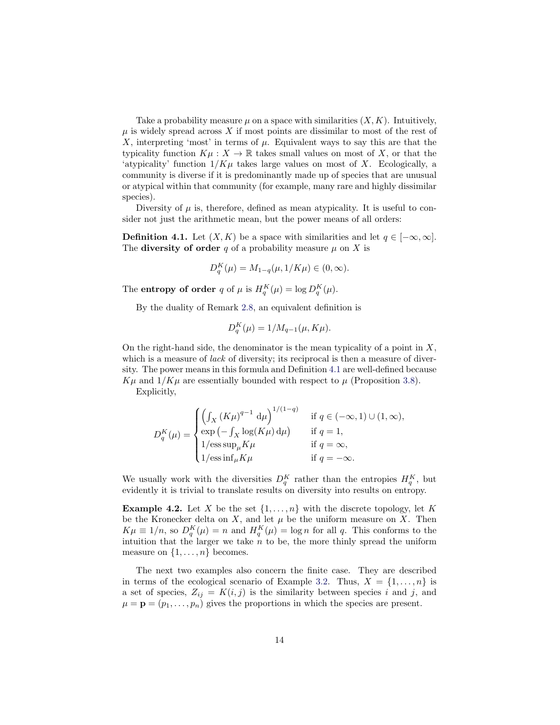Take a probability measure  $\mu$  on a space with similarities  $(X, K)$ . Intuitively,  $\mu$  is widely spread across X if most points are dissimilar to most of the rest of X, interpreting 'most' in terms of  $\mu$ . Equivalent ways to say this are that the typicality function  $K\mu : X \to \mathbb{R}$  takes small values on most of X, or that the 'atypicality' function  $1/K\mu$  takes large values on most of X. Ecologically, a community is diverse if it is predominantly made up of species that are unusual or atypical within that community (for example, many rare and highly dissimilar species).

Diversity of  $\mu$  is, therefore, defined as mean atypicality. It is useful to consider not just the arithmetic mean, but the power means of all orders:

<span id="page-13-0"></span>**Definition 4.1.** Let  $(X, K)$  be a space with similarities and let  $q \in [-\infty, \infty]$ . The **diversity of order** q of a probability measure  $\mu$  on X is

$$
D_q^K(\mu) = M_{1-q}(\mu, 1/K\mu) \in (0, \infty).
$$

The **entropy of order** q of  $\mu$  is  $H_q^K(\mu) = \log D_q^K(\mu)$ .

By the duality of Remark [2.8,](#page-9-2) an equivalent definition is

$$
D_q^K(\mu) = 1/M_{q-1}(\mu, K\mu).
$$

On the right-hand side, the denominator is the mean typicality of a point in  $X$ , which is a measure of *lack* of diversity; its reciprocal is then a measure of diversity. The power means in this formula and Definition [4.1](#page-13-0) are well-defined because  $K\mu$  and  $1/K\mu$  are essentially bounded with respect to  $\mu$  (Proposition [3.8\)](#page-12-3).

Explicitly,

$$
D_q^K(\mu) = \begin{cases} \left(\int_X (K\mu)^{q-1} d\mu\right)^{1/(1-q)} & \text{if } q \in (-\infty, 1) \cup (1, \infty), \\ \exp\left(-\int_X \log(K\mu) d\mu\right) & \text{if } q = 1, \\ 1/\operatorname{ess} \sup_{\mu} K\mu & \text{if } q = \infty, \\ 1/\operatorname{ess} \inf_{\mu} K\mu & \text{if } q = -\infty. \end{cases}
$$

We usually work with the diversities  $D_q^K$  rather than the entropies  $H_q^K$ , but evidently it is trivial to translate results on diversity into results on entropy.

**Example 4.2.** Let X be the set  $\{1, \ldots, n\}$  with the discrete topology, let K be the Kronecker delta on X, and let  $\mu$  be the uniform measure on X. Then  $K\mu \equiv 1/n$ , so  $D_q^K(\mu) = n$  and  $H_q^K(\mu) = \log n$  for all q. This conforms to the intuition that the larger we take  $n$  to be, the more thinly spread the uniform measure on  $\{1, \ldots, n\}$  becomes.

The next two examples also concern the finite case. They are described in terms of the ecological scenario of Example [3.2.](#page-10-3) Thus,  $X = \{1, \ldots, n\}$  is a set of species,  $Z_{ij} = K(i, j)$  is the similarity between species i and j, and  $\mu = \mathbf{p} = (p_1, \ldots, p_n)$  gives the proportions in which the species are present.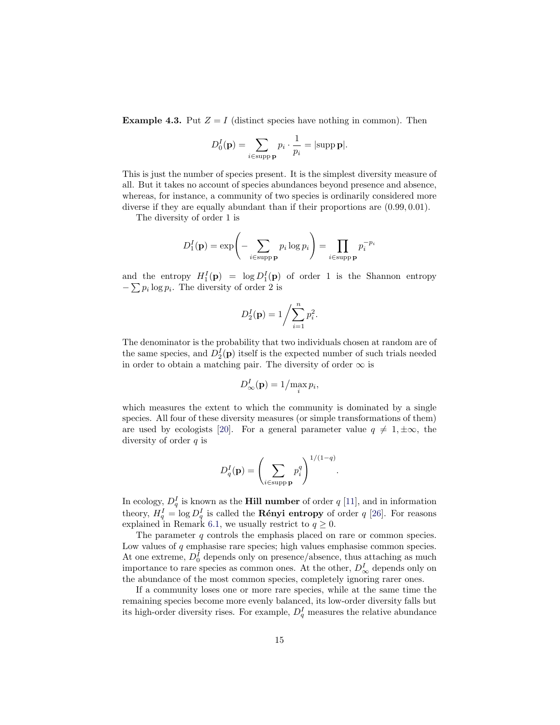<span id="page-14-0"></span>**Example 4.3.** Put  $Z = I$  (distinct species have nothing in common). Then

$$
D_0^I(\mathbf{p}) = \sum_{i \in \text{supp } \mathbf{p}} p_i \cdot \frac{1}{p_i} = |\text{supp } \mathbf{p}|.
$$

This is just the number of species present. It is the simplest diversity measure of all. But it takes no account of species abundances beyond presence and absence, whereas, for instance, a community of two species is ordinarily considered more diverse if they are equally abundant than if their proportions are  $(0.99, 0.01)$ .

The diversity of order 1 is

$$
D_1^I(\mathbf{p}) = \exp\left(-\sum_{i \in \text{supp } \mathbf{p}} p_i \log p_i\right) = \prod_{i \in \text{supp } \mathbf{p}} p_i^{-p_i}
$$

and the entropy  $H_1^I(\mathbf{p}) = \log D_1^I(\mathbf{p})$  of order 1 is the Shannon entropy  $-\sum p_i \log p_i$ . The diversity of order 2 is

$$
D_2^I(\mathbf{p}) = 1 / \sum_{i=1}^n p_i^2.
$$

The denominator is the probability that two individuals chosen at random are of the same species, and  $D_2^I(p)$  itself is the expected number of such trials needed in order to obtain a matching pair. The diversity of order  $\infty$  is

$$
D_{\infty}^{I}(\mathbf{p})=1/\max_{i}p_{i},
$$

which measures the extent to which the community is dominated by a single species. All four of these diversity measures (or simple transformations of them) are used by ecologists [\[20\]](#page-37-20). For a general parameter value  $q \neq 1, \pm \infty$ , the diversity of order  $q$  is

$$
D_q^I(\mathbf{p}) = \left(\sum_{i \in \text{supp } \mathbf{p}} p_i^q\right)^{1/(1-q)}
$$

.

In ecology,  $D_q^I$  is known as the **Hill number** of order  $q$  [\[11\]](#page-37-8), and in information theory,  $H_q^I = \log D_q^I$  is called the **Rényi entropy** of order q [\[26\]](#page-38-2). For reasons explained in Remark [6.1,](#page-21-1) we usually restrict to  $q \geq 0$ .

The parameter  $q$  controls the emphasis placed on rare or common species. Low values of  $q$  emphasise rare species; high values emphasise common species. At one extreme,  $D_0^I$  depends only on presence/absence, thus attaching as much importance to rare species as common ones. At the other,  $D^I_{\infty}$  depends only on the abundance of the most common species, completely ignoring rarer ones.

If a community loses one or more rare species, while at the same time the remaining species become more evenly balanced, its low-order diversity falls but its high-order diversity rises. For example,  $D_q^I$  measures the relative abundance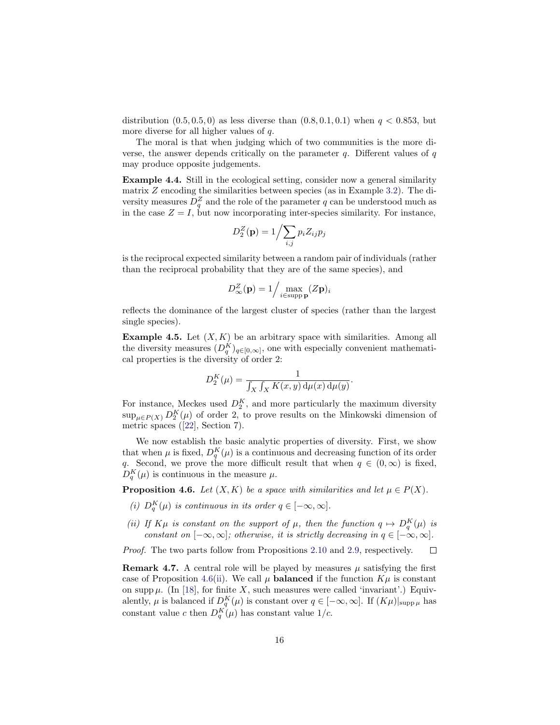distribution  $(0.5, 0.5, 0)$  as less diverse than  $(0.8, 0.1, 0.1)$  when  $q < 0.853$ , but more diverse for all higher values of q.

The moral is that when judging which of two communities is the more diverse, the answer depends critically on the parameter  $q$ . Different values of  $q$ may produce opposite judgements.

Example 4.4. Still in the ecological setting, consider now a general similarity matrix Z encoding the similarities between species (as in Example [3.2\)](#page-10-3). The diversity measures  $D_q^Z$  and the role of the parameter q can be understood much as in the case  $Z = I$ , but now incorporating inter-species similarity. For instance,

$$
D_2^Z(\mathbf{p}) = 1 / \sum_{i,j} p_i Z_{ij} p_j
$$

is the reciprocal expected similarity between a random pair of individuals (rather than the reciprocal probability that they are of the same species), and

$$
D_{\infty}^{Z}(\mathbf{p}) = 1 / \max_{i \in \text{supp } \mathbf{p}} (Z\mathbf{p})_i
$$

reflects the dominance of the largest cluster of species (rather than the largest single species).

<span id="page-15-4"></span>**Example 4.5.** Let  $(X, K)$  be an arbitrary space with similarities. Among all the diversity measures  $(D_q^K)_{q \in [0,\infty]}$ , one with especially convenient mathematical properties is the diversity of order 2:

$$
D_2^K(\mu) = \frac{1}{\int_X \int_X K(x, y) \, \mathrm{d}\mu(x) \, \mathrm{d}\mu(y)}.
$$

For instance, Meckes used  $D_2^K$ , and more particularly the maximum diversity  $\sup_{\mu \in P(X)} D_2^K(\mu)$  of order 2, to prove results on the Minkowski dimension of metric spaces ([\[22\]](#page-37-7), Section 7).

We now establish the basic analytic properties of diversity. First, we show that when  $\mu$  is fixed,  $D_q^K(\mu)$  is a continuous and decreasing function of its order q. Second, we prove the more difficult result that when  $q \in (0, \infty)$  is fixed,  $D_q^K(\mu)$  is continuous in the measure  $\mu$ .

<span id="page-15-0"></span>**Proposition 4.6.** Let  $(X, K)$  be a space with similarities and let  $\mu \in P(X)$ .

- <span id="page-15-2"></span>(i)  $D_q^K(\mu)$  is continuous in its order  $q \in [-\infty, \infty]$ .
- <span id="page-15-1"></span>(ii) If  $K\mu$  is constant on the support of  $\mu$ , then the function  $q \mapsto D_q^K(\mu)$  is constant on  $[-\infty, \infty]$ ; otherwise, it is strictly decreasing in  $q \in [-\infty, \infty]$ .

Proof. The two parts follow from Propositions [2.10](#page-9-3) and [2.9,](#page-9-4) respectively.  $\Box$ 

<span id="page-15-3"></span>**Remark 4.7.** A central role will be played by measures  $\mu$  satisfying the first case of Proposition [4.6\(](#page-15-0)[ii\)](#page-15-1). We call  $\mu$  **balanced** if the function  $K\mu$  is constant on supp  $\mu$ . (In [\[18\]](#page-37-0), for finite X, such measures were called 'invariant'.) Equivalently,  $\mu$  is balanced if  $D_q^K(\mu)$  is constant over  $q \in [-\infty, \infty]$ . If  $(K\mu)|_{\text{supp }\mu}$  has constant value c then  $D_q^K(\mu)$  has constant value  $1/c$ .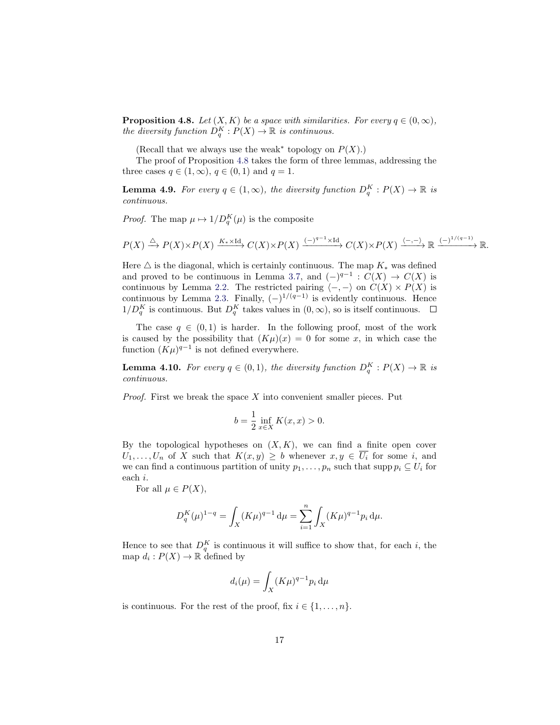<span id="page-16-0"></span>**Proposition 4.8.** Let  $(X, K)$  be a space with similarities. For every  $q \in (0, \infty)$ , the diversity function  $D_q^K : P(X) \to \mathbb{R}$  is continuous.

(Recall that we always use the weak<sup>\*</sup> topology on  $P(X)$ .)

The proof of Proposition [4.8](#page-16-0) takes the form of three lemmas, addressing the three cases  $q \in (1,\infty)$ ,  $q \in (0,1)$  and  $q=1$ .

**Lemma 4.9.** For every  $q \in (1,\infty)$ , the diversity function  $D_q^K : P(X) \to \mathbb{R}$  is continuous.

*Proof.* The map  $\mu \mapsto 1/D_q^K(\mu)$  is the composite

$$
P(X) \xrightarrow{\triangle} P(X) \times P(X) \xrightarrow{K_* \times \text{Id}} C(X) \times P(X) \xrightarrow{(-)^{q-1} \times \text{Id}} C(X) \times P(X) \xrightarrow{\langle -, - \rangle} \mathbb{R} \xrightarrow{(-)^{1/(q-1)}} \mathbb{R}.
$$

Here  $\triangle$  is the diagonal, which is certainly continuous. The map  $K_*$  was defined and proved to be continuous in Lemma [3.7,](#page-12-4) and  $(-)^{q-1}$  :  $C(X) \rightarrow C(X)$  is continuous by Lemma [2.2.](#page-6-4) The restricted pairing  $\langle -,-\rangle$  on  $C(X) \times P(X)$  is continuous by Lemma [2.3.](#page-6-3) Finally,  $(-)^{1/(q-1)}$  is evidently continuous. Hence  $1/D_q^K$  is continuous. But  $D_q^K$  takes values in  $(0, \infty)$ , so is itself continuous.

The case  $q \in (0,1)$  is harder. In the following proof, most of the work is caused by the possibility that  $(K\mu)(x) = 0$  for some x, in which case the function  $(K\mu)^{q-1}$  is not defined everywhere.

**Lemma 4.10.** For every  $q \in (0,1)$ , the diversity function  $D_q^K : P(X) \to \mathbb{R}$  is continuous.

*Proof.* First we break the space  $X$  into convenient smaller pieces. Put

$$
b = \frac{1}{2} \inf_{x \in X} K(x, x) > 0.
$$

By the topological hypotheses on  $(X, K)$ , we can find a finite open cover  $U_1, \ldots, U_n$  of X such that  $K(x, y) \geq b$  whenever  $x, y \in \overline{U_i}$  for some i, and we can find a continuous partition of unity  $p_1, \ldots, p_n$  such that supp  $p_i \subseteq U_i$  for each i.

For all  $\mu \in P(X)$ ,

$$
D_q^K(\mu)^{1-q} = \int_X (K\mu)^{q-1} d\mu = \sum_{i=1}^n \int_X (K\mu)^{q-1} p_i d\mu.
$$

Hence to see that  $D_q^K$  is continuous it will suffice to show that, for each i, the map  $d_i: P(X) \to \mathbb{R}$  defined by

$$
d_i(\mu) = \int_X (K\mu)^{q-1} p_i \, \mathrm{d}\mu
$$

is continuous. For the rest of the proof, fix  $i \in \{1, \ldots, n\}$ .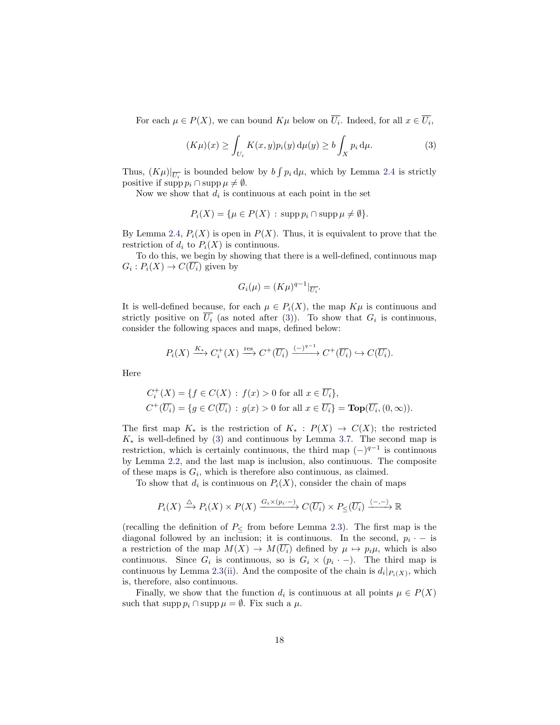For each  $\mu \in P(X)$ , we can bound  $K\mu$  below on  $U_i$ . Indeed, for all  $x \in U_i$ ,

$$
(K\mu)(x) \ge \int_{U_i} K(x, y) p_i(y) d\mu(y) \ge b \int_X p_i d\mu.
$$
 (3)

Thus,  $(K\mu)|_{\overline{U_i}}$  is bounded below by  $b \int p_i d\mu$ , which by Lemma [2.4](#page-7-2) is strictly positive if supp  $p_i \cap \text{supp} \mu \neq \emptyset$ .

Now we show that  $d_i$  is continuous at each point in the set

$$
P_i(X) = \{ \mu \in P(X) : \operatorname{supp} p_i \cap \operatorname{supp} \mu \neq \emptyset \}.
$$

By Lemma [2.4,](#page-7-2)  $P_i(X)$  is open in  $P(X)$ . Thus, it is equivalent to prove that the restriction of  $d_i$  to  $P_i(X)$  is continuous.

To do this, we begin by showing that there is a well-defined, continuous map  $G_i: P_i(X) \to C(U_i)$  given by

<span id="page-17-0"></span>
$$
G_i(\mu) = (K\mu)^{q-1}|_{\overline{U_i}}.
$$

It is well-defined because, for each  $\mu \in P_i(X)$ , the map  $K\mu$  is continuous and strictly positive on  $U_i$  (as noted after [\(3\)](#page-17-0)). To show that  $G_i$  is continuous, consider the following spaces and maps, defined below:

$$
P_i(X) \xrightarrow{K_*} C_i^+(X) \xrightarrow{\text{res}} C^+(\overline{U_i}) \xrightarrow{(-)^{q-1}} C^+(\overline{U_i}) \hookrightarrow C(\overline{U_i}).
$$

Here

$$
C_i^+(X) = \{ f \in C(X) : f(x) > 0 \text{ for all } x \in \overline{U_i} \},
$$
  

$$
C^+(\overline{U_i}) = \{ g \in C(\overline{U_i}) : g(x) > 0 \text{ for all } x \in \overline{U_i} \} = \textbf{Top}(\overline{U_i}, (0, \infty)).
$$

The first map  $K_*$  is the restriction of  $K_* : P(X) \to C(X)$ ; the restricted  $K_*$  is well-defined by [\(3\)](#page-17-0) and continuous by Lemma [3.7.](#page-12-4) The second map is restriction, which is certainly continuous, the third map  $(-)^{q-1}$  is continuous by Lemma [2.2,](#page-6-4) and the last map is inclusion, also continuous. The composite of these maps is  $G_i$ , which is therefore also continuous, as claimed.

To show that  $d_i$  is continuous on  $P_i(X)$ , consider the chain of maps

$$
P_i(X) \xrightarrow{\triangle} P_i(X) \times P(X) \xrightarrow{G_i \times (p_i -)} C(\overline{U_i}) \times P_{\leq}(\overline{U_i}) \xrightarrow{\langle -,- \rangle} \mathbb{R}
$$

(recalling the definition of  $P_{\leq}$  from before Lemma [2.3\)](#page-6-3). The first map is the diagonal followed by an inclusion; it is continuous. In the second,  $p_i$   $\cdot$  – is a restriction of the map  $M(X) \to M(\overline{U_i})$  defined by  $\mu \mapsto p_i\mu$ , which is also continuous. Since  $G_i$  is continuous, so is  $G_i \times (p_i \cdot -)$ . The third map is continuous by Lemma [2.3\(](#page-6-3)[ii\)](#page-7-1). And the composite of the chain is  $d_i|_{P_i(X)}$ , which is, therefore, also continuous.

Finally, we show that the function  $d_i$  is continuous at all points  $\mu \in P(X)$ such that supp  $p_i \cap \text{supp }\mu = \emptyset$ . Fix such a  $\mu$ .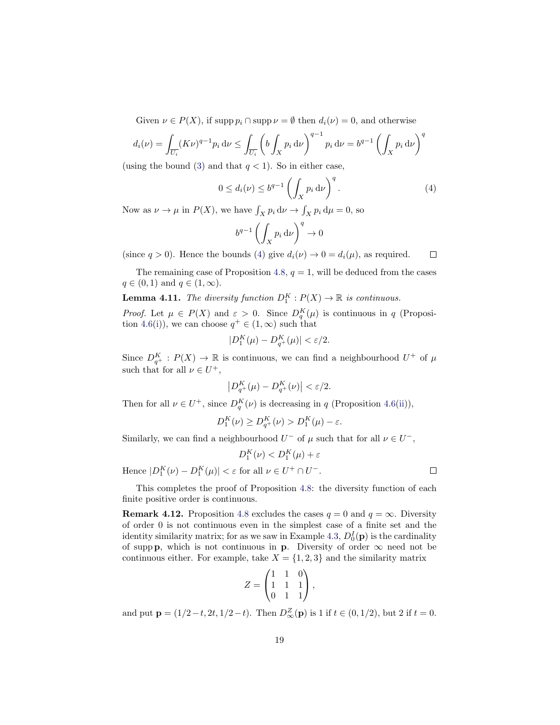Given  $\nu \in P(X)$ , if supp  $p_i \cap \text{supp }\nu = \emptyset$  then  $d_i(\nu) = 0$ , and otherwise

$$
d_i(\nu) = \int_{\overline{U_i}} (K\nu)^{q-1} p_i \, d\nu \le \int_{\overline{U_i}} \left( b \int_X p_i \, d\nu \right)^{q-1} p_i \, d\nu = b^{q-1} \left( \int_X p_i \, d\nu \right)^q
$$

(using the bound [\(3\)](#page-17-0) and that  $q < 1$ ). So in either case,

<span id="page-18-0"></span>
$$
0 \le d_i(\nu) \le b^{q-1} \left( \int_X p_i \, \mathrm{d}\nu \right)^q. \tag{4}
$$

Now as  $\nu \to \mu$  in  $P(X)$ , we have  $\int_X p_i \, d\nu \to \int_X p_i \, d\mu = 0$ , so

$$
b^{q-1} \left( \int_X p_i \, \mathrm{d}\nu \right)^q \to 0
$$

(since  $q > 0$ ). Hence the bounds [\(4\)](#page-18-0) give  $d_i(\nu) \to 0 = d_i(\mu)$ , as required.  $\Box$ 

The remaining case of Proposition [4.8,](#page-16-0)  $q = 1$ , will be deduced from the cases  $q \in (0,1)$  and  $q \in (1,\infty)$ .

**Lemma 4.11.** The diversity function  $D_1^K : P(X) \to \mathbb{R}$  is continuous.

*Proof.* Let  $\mu \in P(X)$  and  $\varepsilon > 0$ . Since  $D_q^K(\mu)$  is continuous in q (Proposi-tion [4.6\(](#page-15-0)[i\)](#page-15-2)), we can choose  $q^+ \in (1,\infty)$  such that

$$
|D_1^K(\mu) - D_{q^+}^K(\mu)| < \varepsilon/2.
$$

Since  $D_{q^+}^K : P(X) \to \mathbb{R}$  is continuous, we can find a neighbourhood  $U^+$  of  $\mu$ such that for all  $\nu \in U^+,$ 

$$
\left|D_{q^+}^K(\mu)-D_{q^+}^K(\nu)\right|<\varepsilon/2.
$$

Then for all  $\nu \in U^+$ , since  $D_q^K(\nu)$  is decreasing in q (Proposition [4.6\(](#page-15-0)[ii\)](#page-15-1)),

$$
D_1^K(\nu) \ge D_{q^+}^K(\nu) > D_1^K(\mu) - \varepsilon.
$$

Similarly, we can find a neighbourhood  $U^-$  of  $\mu$  such that for all  $\nu \in U^-$ ,

$$
D_1^K(\nu) < D_1^K(\mu) + \varepsilon
$$
\nHence

\n
$$
|D_1^K(\nu) - D_1^K(\mu)| < \varepsilon \text{ for all } \nu \in U^+ \cap U^-.
$$

This completes the proof of Proposition [4.8:](#page-16-0) the diversity function of each finite positive order is continuous.

**Remark 4.12.** Proposition [4.8](#page-16-0) excludes the cases  $q = 0$  and  $q = \infty$ . Diversity of order 0 is not continuous even in the simplest case of a finite set and the identity similarity matrix; for as we saw in Example [4.3,](#page-14-0)  $D_0^I(\mathbf{p})$  is the cardinality of supp p, which is not continuous in p. Diversity of order  $\infty$  need not be continuous either. For example, take  $X = \{1, 2, 3\}$  and the similarity matrix

$$
Z = \begin{pmatrix} 1 & 1 & 0 \\ 1 & 1 & 1 \\ 0 & 1 & 1 \end{pmatrix},
$$

and put  $\mathbf{p} = (1/2 - t, 2t, 1/2 - t)$ . Then  $D_{\infty}^{Z}(\mathbf{p})$  is 1 if  $t \in (0, 1/2)$ , but 2 if  $t = 0$ .

 $\Box$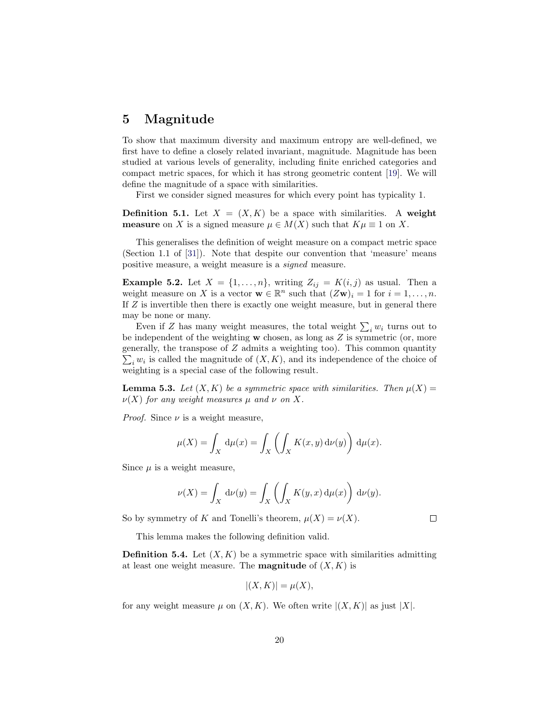### <span id="page-19-0"></span>5 Magnitude

To show that maximum diversity and maximum entropy are well-defined, we first have to define a closely related invariant, magnitude. Magnitude has been studied at various levels of generality, including finite enriched categories and compact metric spaces, for which it has strong geometric content [\[19\]](#page-37-6). We will define the magnitude of a space with similarities.

First we consider signed measures for which every point has typicality 1.

**Definition 5.1.** Let  $X = (X, K)$  be a space with similarities. A weight **measure** on X is a signed measure  $\mu \in M(X)$  such that  $K\mu \equiv 1$  on X.

This generalises the definition of weight measure on a compact metric space (Section 1.1 of [\[31\]](#page-38-3)). Note that despite our convention that 'measure' means positive measure, a weight measure is a signed measure.

**Example 5.2.** Let  $X = \{1, \ldots, n\}$ , writing  $Z_{ij} = K(i, j)$  as usual. Then a weight measure on X is a vector  $\mathbf{w} \in \mathbb{R}^n$  such that  $(Z\mathbf{w})_i = 1$  for  $i = 1, \ldots, n$ . If Z is invertible then there is exactly one weight measure, but in general there may be none or many.

Even if Z has many weight measures, the total weight  $\sum_i w_i$  turns out to be independent of the weighting  $w$  chosen, as long as  $Z$  is symmetric (or, more generally, the transpose of Z admits a weighting too). This common quantity  $\sum_i w_i$  is called the magnitude of  $(X, K)$ , and its independence of the choice of weighting is a special case of the following result.

**Lemma 5.3.** Let  $(X, K)$  be a symmetric space with similarities. Then  $\mu(X) =$  $\nu(X)$  for any weight measures  $\mu$  and  $\nu$  on X.

*Proof.* Since  $\nu$  is a weight measure,

$$
\mu(X) = \int_X d\mu(x) = \int_X \left( \int_X K(x, y) d\nu(y) \right) d\mu(x).
$$

Since  $\mu$  is a weight measure,

$$
\nu(X) = \int_X d\nu(y) = \int_X \left( \int_X K(y, x) d\mu(x) \right) d\nu(y).
$$

So by symmetry of K and Tonelli's theorem,  $\mu(X) = \nu(X)$ .

 $\Box$ 

This lemma makes the following definition valid.

<span id="page-19-1"></span>**Definition 5.4.** Let  $(X, K)$  be a symmetric space with similarities admitting at least one weight measure. The **magnitude** of  $(X, K)$  is

$$
|(X,K)| = \mu(X),
$$

for any weight measure  $\mu$  on  $(X, K)$ . We often write  $|(X, K)|$  as just  $|X|$ .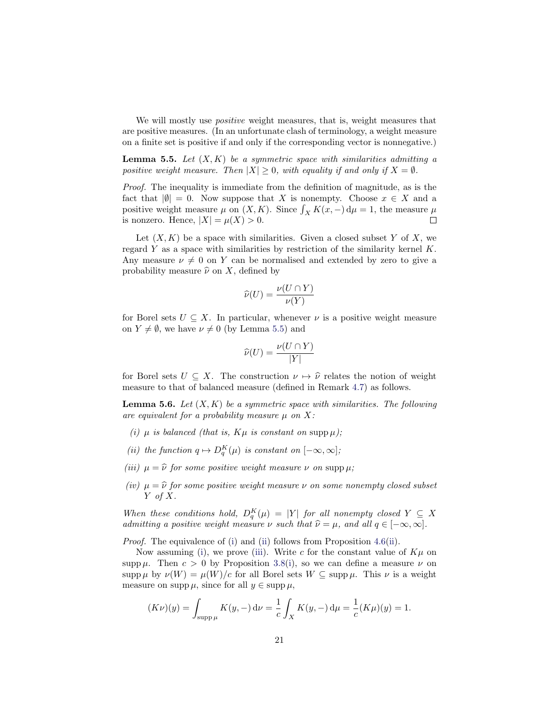We will mostly use *positive* weight measures, that is, weight measures that are positive measures. (In an unfortunate clash of terminology, a weight measure on a finite set is positive if and only if the corresponding vector is nonnegative.)

<span id="page-20-0"></span>**Lemma 5.5.** Let  $(X, K)$  be a symmetric space with similarities admitting a positive weight measure. Then  $|X| \geq 0$ , with equality if and only if  $X = \emptyset$ .

Proof. The inequality is immediate from the definition of magnitude, as is the fact that  $|\emptyset| = 0$ . Now suppose that X is nonempty. Choose  $x \in X$  and a positive weight measure  $\mu$  on  $(X, K)$ . Since  $\int_X K(x, -) d\mu = 1$ , the measure  $\mu$ is nonzero. Hence,  $|X| = \mu(X) > 0$ .

Let  $(X, K)$  be a space with similarities. Given a closed subset Y of X, we regard  $Y$  as a space with similarities by restriction of the similarity kernel  $K$ . Any measure  $\nu \neq 0$  on Y can be normalised and extended by zero to give a probability measure  $\hat{\nu}$  on X, defined by

$$
\widehat{\nu}(U) = \frac{\nu(U \cap Y)}{\nu(Y)}
$$

for Borel sets  $U \subseteq X$ . In particular, whenever  $\nu$  is a positive weight measure on  $Y \neq \emptyset$ , we have  $\nu \neq 0$  (by Lemma [5.5\)](#page-20-0) and

$$
\widehat{\nu}(U) = \frac{\nu(U \cap Y)}{|Y|}
$$

for Borel sets  $U \subseteq X$ . The construction  $\nu \mapsto \hat{\nu}$  relates the notion of weight measure to that of balanced measure (defined in Remark [4.7\)](#page-15-3) as follows.

<span id="page-20-5"></span>**Lemma 5.6.** Let  $(X, K)$  be a symmetric space with similarities. The following are equivalent for a probability measure  $\mu$  on X:

- <span id="page-20-1"></span>(i)  $\mu$  is balanced (that is,  $K\mu$  is constant on supp  $\mu$ );
- <span id="page-20-2"></span>(ii) the function  $q \mapsto D_q^K(\mu)$  is constant on  $[-\infty, \infty]$ ;
- <span id="page-20-3"></span>(iii)  $\mu = \hat{\nu}$  for some positive weight measure  $\nu$  on supp  $\mu$ ;
- <span id="page-20-4"></span>(iv)  $\mu = \hat{\nu}$  for some positive weight measure  $\nu$  on some nonempty closed subset  $Y$  of  $X$ .

When these conditions hold,  $D_q^K(\mu) = |Y|$  for all nonempty closed  $Y \subseteq X$ admitting a positive weight measure  $\nu$  such that  $\hat{\nu} = \mu$ , and all  $q \in [-\infty, \infty]$ .

Proof. The equivalence of [\(i\)](#page-20-1) and [\(ii\)](#page-20-2) follows from Proposition [4.6\(](#page-15-0)[ii\)](#page-15-1).

Now assuming [\(i\)](#page-20-1), we prove [\(iii\)](#page-20-3). Write c for the constant value of  $K\mu$  on supp  $\mu$ . Then  $c > 0$  by Proposition [3.8\(](#page-12-3)[i\)](#page-12-1), so we can define a measure  $\nu$  on supp  $\mu$  by  $\nu(W) = \mu(W)/c$  for all Borel sets  $W \subseteq \text{supp }\mu$ . This  $\nu$  is a weight measure on supp  $\mu$ , since for all  $y \in \text{supp} \mu$ ,

$$
(K\nu)(y) = \int_{\text{supp }\mu} K(y, -) \, \mathrm{d}\nu = \frac{1}{c} \int_X K(y, -) \, \mathrm{d}\mu = \frac{1}{c} (K\mu)(y) = 1.
$$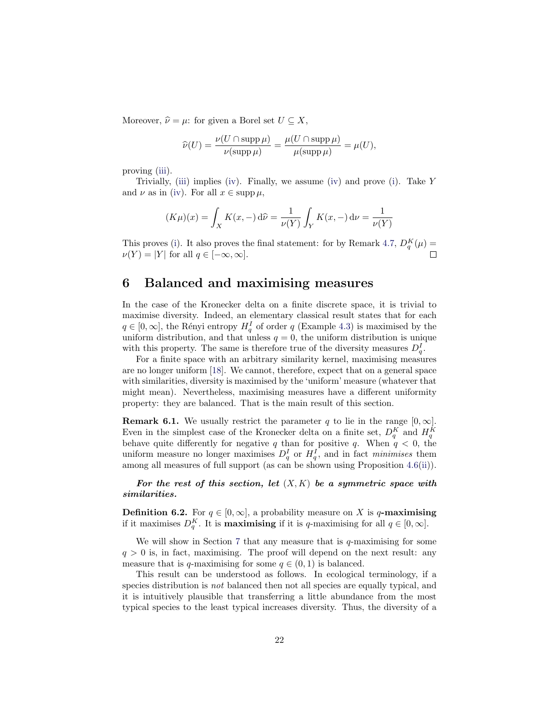Moreover,  $\hat{\nu} = \mu$ : for given a Borel set  $U \subseteq X$ ,

$$
\widehat{\nu}(U) = \frac{\nu(U \cap \operatorname{supp} \mu)}{\nu(\operatorname{supp} \mu)} = \frac{\mu(U \cap \operatorname{supp} \mu)}{\mu(\operatorname{supp} \mu)} = \mu(U),
$$

proving [\(iii\)](#page-20-3).

Trivially, [\(iii\)](#page-20-3) implies [\(iv\)](#page-20-4). Finally, we assume [\(iv\)](#page-20-4) and prove [\(i\)](#page-20-1). Take Y and  $\nu$  as in [\(iv\)](#page-20-4). For all  $x \in \text{supp }\mu$ ,

$$
(K\mu)(x) = \int_X K(x, -) d\hat{\nu} = \frac{1}{\nu(Y)} \int_Y K(x, -) d\nu = \frac{1}{\nu(Y)}
$$

This proves [\(i\)](#page-20-1). It also proves the final statement: for by Remark [4.7,](#page-15-3)  $D_q^K(\mu)$  =  $\nu(Y) = |Y|$  for all  $q \in [-\infty, \infty]$ .

### <span id="page-21-0"></span>6 Balanced and maximising measures

In the case of the Kronecker delta on a finite discrete space, it is trivial to maximise diversity. Indeed, an elementary classical result states that for each  $q \in [0, \infty]$ , the Rényi entropy  $H_q^I$  of order q (Example [4.3\)](#page-14-0) is maximised by the uniform distribution, and that unless  $q = 0$ , the uniform distribution is unique with this property. The same is therefore true of the diversity measures  $D_q^I$ .

For a finite space with an arbitrary similarity kernel, maximising measures are no longer uniform [\[18\]](#page-37-0). We cannot, therefore, expect that on a general space with similarities, diversity is maximised by the 'uniform' measure (whatever that might mean). Nevertheless, maximising measures have a different uniformity property: they are balanced. That is the main result of this section.

<span id="page-21-1"></span>**Remark 6.1.** We usually restrict the parameter q to lie in the range  $[0, \infty]$ . Even in the simplest case of the Kronecker delta on a finite set,  $D_q^K$  and  $H_q^K$ behave quite differently for negative q than for positive q. When  $q < 0$ , the uniform measure no longer maximises  $D_q^I$  or  $H_q^I$ , and in fact minimises them among all measures of full support (as can be shown using Proposition [4.6\(](#page-15-0)[ii\)](#page-15-1)).

For the rest of this section, let  $(X, K)$  be a symmetric space with similarities.

**Definition 6.2.** For  $q \in [0, \infty]$ , a probability measure on X is q-maximising if it maximises  $D_q^K$ . It is **maximising** if it is q-maximising for all  $q \in [0, \infty]$ .

We will show in Section [7](#page-25-0) that any measure that is  $q$ -maximising for some  $q > 0$  is, in fact, maximising. The proof will depend on the next result: any measure that is q-maximising for some  $q \in (0,1)$  is balanced.

This result can be understood as follows. In ecological terminology, if a species distribution is not balanced then not all species are equally typical, and it is intuitively plausible that transferring a little abundance from the most typical species to the least typical increases diversity. Thus, the diversity of a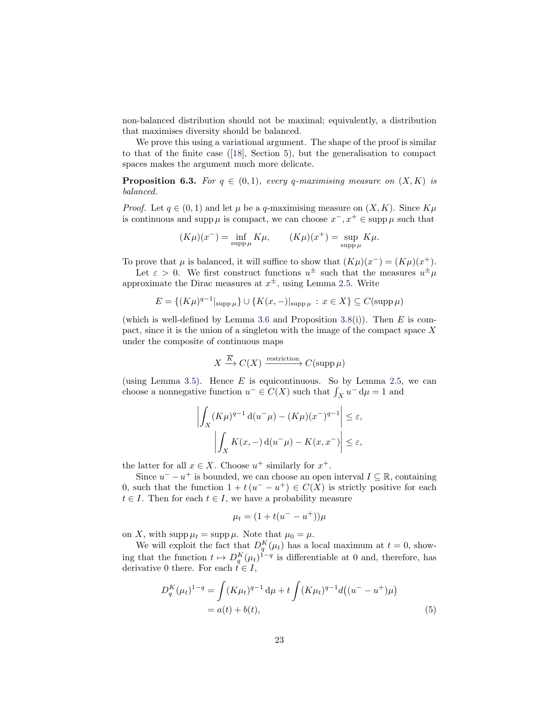non-balanced distribution should not be maximal; equivalently, a distribution that maximises diversity should be balanced.

We prove this using a variational argument. The shape of the proof is similar to that of the finite case ([\[18\]](#page-37-0), Section 5), but the generalisation to compact spaces makes the argument much more delicate.

<span id="page-22-1"></span>**Proposition 6.3.** For  $q \in (0,1)$ , every q-maximising measure on  $(X, K)$  is balanced.

*Proof.* Let  $q \in (0,1)$  and let  $\mu$  be a q-maximising measure on  $(X, K)$ . Since  $K\mu$ is continuous and supp  $\mu$  is compact, we can choose  $x^-, x^+ \in \text{supp } \mu$  such that

$$
(K\mu)(x^-) = \inf_{\text{supp }\mu} K\mu, \qquad (K\mu)(x^+) = \sup_{\text{supp }\mu} K\mu.
$$

To prove that  $\mu$  is balanced, it will suffice to show that  $(K\mu)(x^-) = (K\mu)(x^+)$ .

Let  $\varepsilon > 0$ . We first construct functions  $u^{\pm}$  such that the measures  $u^{\pm} \mu$ approximate the Dirac measures at  $x^{\pm}$ , using Lemma [2.5.](#page-7-3) Write

$$
E = \{(K\mu)^{q-1}|_{\text{supp }\mu}\} \cup \{K(x, -)|_{\text{supp }\mu} : x \in X\} \subseteq C(\text{supp }\mu)
$$

(which is well-defined by Lemma [3.6](#page-11-1) and Proposition [3.8\(](#page-12-3)[i\)](#page-12-1)). Then  $E$  is compact, since it is the union of a singleton with the image of the compact space  $X$ under the composite of continuous maps

$$
X \xrightarrow{\overline{K}} C(X) \xrightarrow{\text{restriction}} C(\text{supp}\,\mu)
$$

(using Lemma [3.5\)](#page-11-0). Hence  $E$  is equicontinuous. So by Lemma [2.5,](#page-7-3) we can choose a nonnegative function  $u^- \in C(X)$  such that  $\int_X u^- d\mu = 1$  and

$$
\left| \int_X (K\mu)^{q-1} \, \mathrm{d}u^- \mu \right| - (K\mu)(x^-)^{q-1} \right| \le \varepsilon,
$$
  

$$
\left| \int_X K(x, -) \, \mathrm{d}u^- \mu \right| - K(x, x^-) \le \varepsilon,
$$

the latter for all  $x \in X$ . Choose  $u^+$  similarly for  $x^+$ .

Since  $u^- - u^+$  is bounded, we can choose an open interval  $I \subseteq \mathbb{R}$ , containing 0, such that the function  $1 + t(u^- - u^+) \in C(X)$  is strictly positive for each  $t \in I$ . Then for each  $t \in I$ , we have a probability measure

<span id="page-22-0"></span>
$$
\mu_t = (1 + t(u^- - u^+))\mu
$$

on X, with  $\text{supp}\,\mu_t = \text{supp}\,\mu$ . Note that  $\mu_0 = \mu$ .

We will exploit the fact that  $D_q^K(\mu_t)$  has a local maximum at  $t = 0$ , showing that the function  $t \mapsto D_q^K(\mu_t)^{1-q}$  is differentiable at 0 and, therefore, has derivative 0 there. For each  $t \in I$ ,

$$
D_q^K(\mu_t)^{1-q} = \int (K\mu_t)^{q-1} d\mu + t \int (K\mu_t)^{q-1} d((u^- - u^+) \mu)
$$
  
=  $a(t) + b(t)$ , (5)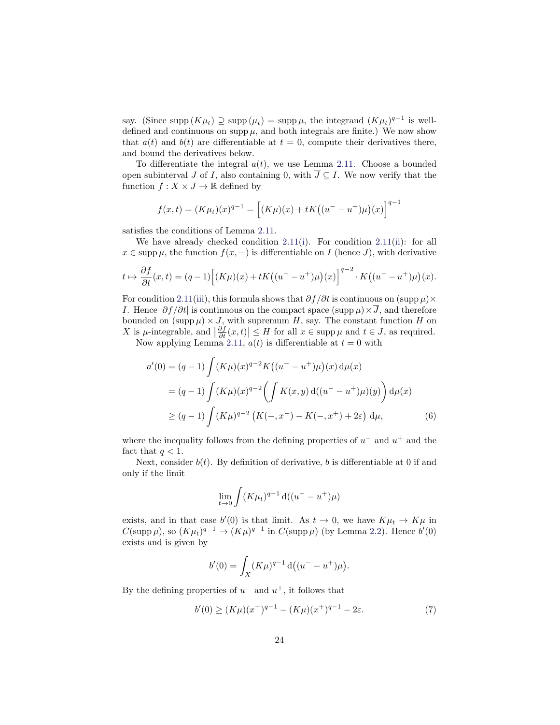say. (Since supp  $(K\mu_t) \supseteq \text{supp}(\mu_t) = \text{supp}\,\mu$ , the integrand  $(K\mu_t)^{q-1}$  is welldefined and continuous on supp  $\mu$ , and both integrals are finite.) We now show that  $a(t)$  and  $b(t)$  are differentiable at  $t = 0$ , compute their derivatives there, and bound the derivatives below.

To differentiate the integral  $a(t)$ , we use Lemma [2.11.](#page-9-5) Choose a bounded open subinterval J of I, also containing 0, with  $\overline{J} \subseteq I$ . We now verify that the function  $f: X \times J \to \mathbb{R}$  defined by

$$
f(x,t) = (K\mu_t)(x)^{q-1} = \left[ (K\mu)(x) + tK((u^- - u^+)\mu)(x) \right]^{q-1}
$$

satisfies the conditions of Lemma [2.11.](#page-9-5)

We have already checked condition [2.11\(](#page-9-5)[i\)](#page-9-6). For condition [2.11](#page-9-5)[\(ii\)](#page-9-7): for all  $x \in \text{supp }\mu$ , the function  $f(x, -)$  is differentiable on I (hence J), with derivative

$$
t \mapsto \frac{\partial f}{\partial t}(x,t) = (q-1)\left[ (K\mu)(x) + tK\left( (u^- - u^+)\mu \right)(x) \right]^{q-2} \cdot K\left( (u^- - u^+)\mu \right)(x).
$$

For condition [2.11\(](#page-9-5)[iii\)](#page-9-8), this formula shows that  $\partial f/\partial t$  is continuous on (supp  $\mu$ )× I. Hence  $|\partial f/\partial t|$  is continuous on the compact space (supp  $\mu$ ) × J, and therefore bounded on  $(\text{supp }\mu) \times J$ , with supremum H, say. The constant function H on X is  $\mu$ -integrable, and  $\left|\frac{\partial f}{\partial t}(x,t)\right| \leq H$  for all  $x \in \text{supp }\mu$  and  $t \in J$ , as required.<br>Now applying Lemma [2.11,](#page-9-5)  $a(t)$  is differentiable at  $t = 0$  with

$$
a'(0) = (q-1) \int (K\mu)(x)^{q-2} K((u^- - u^+) \mu)(x) d\mu(x)
$$
  
= (q-1) 
$$
\int (K\mu)(x)^{q-2} \left( \int K(x, y) d((u^- - u^+) \mu)(y) \right) d\mu(x)
$$
  

$$
\geq (q-1) \int (K\mu)^{q-2} \left( K(-, x^-) - K(-, x^+) + 2\varepsilon \right) d\mu,
$$
 (6)

where the inequality follows from the defining properties of  $u^-$  and  $u^+$  and the fact that  $q < 1$ .

Next, consider  $b(t)$ . By definition of derivative, b is differentiable at 0 if and only if the limit

<span id="page-23-0"></span>
$$
\lim_{t \to 0} \int (K \mu_t)^{q-1} \, \mathrm{d}((u^- - u^+) \mu)
$$

exists, and in that case  $b'(0)$  is that limit. As  $t \to 0$ , we have  $K\mu_t \to K\mu$  in  $C(\text{supp }\mu)$ , so  $(K\mu_t)^{q-1} \to (K\mu)^{q-1}$  in  $C(\text{supp }\mu)$  (by Lemma [2.2\)](#page-6-4). Hence  $b'(0)$ exists and is given by

<span id="page-23-1"></span>
$$
b'(0) = \int_X (K\mu)^{q-1} d((u^- - u^+) \mu).
$$

By the defining properties of  $u^-$  and  $u^+$ , it follows that

$$
b'(0) \ge (K\mu)(x^{-})^{q-1} - (K\mu)(x^{+})^{q-1} - 2\varepsilon.
$$
 (7)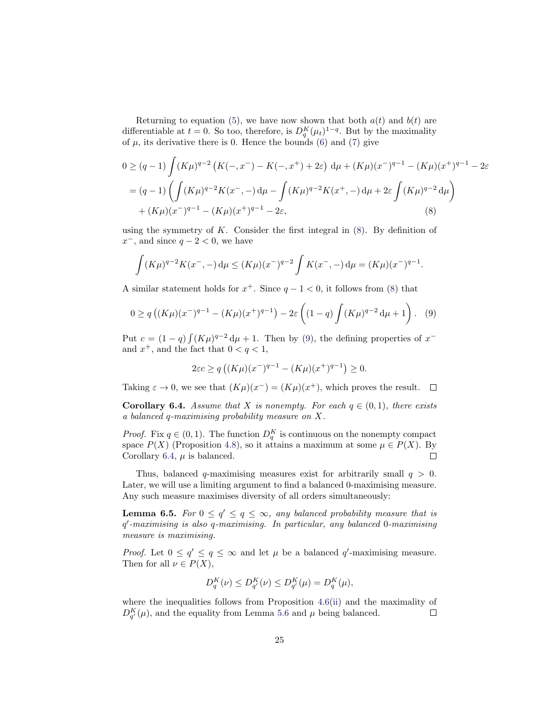Returning to equation [\(5\)](#page-22-0), we have now shown that both  $a(t)$  and  $b(t)$  are differentiable at  $t = 0$ . So too, therefore, is  $D_q^K(\mu_t)^{1-q}$ . But by the maximality of  $\mu$ , its derivative there is 0. Hence the bounds [\(6\)](#page-23-0) and [\(7\)](#page-23-1) give

$$
0 \ge (q - 1) \int (K\mu)^{q-2} \left( K(-, x^{-}) - K(-, x^{+}) + 2\varepsilon \right) d\mu + (K\mu)(x^{-})^{q-1} - (K\mu)(x^{+})^{q-1} - 2\varepsilon
$$
  
=  $(q-1) \left( \int (K\mu)^{q-2} K(x^{-}, -) d\mu - \int (K\mu)^{q-2} K(x^{+}, -) d\mu + 2\varepsilon \int (K\mu)^{q-2} d\mu \right)$   
+  $(K\mu)(x^{-})^{q-1} - (K\mu)(x^{+})^{q-1} - 2\varepsilon,$  (8)

using the symmetry of  $K$ . Consider the first integral in  $(8)$ . By definition of  $x^-$ , and since  $q-2 < 0$ , we have

$$
\int (K\mu)^{q-2} K(x^-, -) d\mu \le (K\mu)(x^-)^{q-2} \int K(x^-, -) d\mu = (K\mu)(x^-)^{q-1}.
$$

A similar statement holds for  $x^+$ . Since  $q-1 < 0$ , it follows from [\(8\)](#page-24-0) that

<span id="page-24-1"></span>
$$
0 \ge q\left( (K\mu)(x^-)^{q-1} - (K\mu)(x^+)^{q-1} \right) - 2\varepsilon \left( (1-q) \int (K\mu)^{q-2} d\mu + 1 \right). \tag{9}
$$

Put  $c = (1 - q) \int (K\mu)^{q-2} d\mu + 1$ . Then by [\(9\)](#page-24-1), the defining properties of  $x^{-}$ and  $x^+$ , and the fact that  $0 < q < 1$ ,

<span id="page-24-0"></span>
$$
2\varepsilon c \ge q\left( (K\mu)(x^-)^{q-1} - (K\mu)(x^+)^{q-1} \right) \ge 0.
$$

Taking  $\varepsilon \to 0$ , we see that  $(K\mu)(x^-) = (K\mu)(x^+)$ , which proves the result.

<span id="page-24-2"></span>**Corollary 6.4.** Assume that X is nonempty. For each  $q \in (0, 1)$ , there exists a balanced q-maximising probability measure on X.

*Proof.* Fix  $q \in (0,1)$ . The function  $D_q^K$  is continuous on the nonempty compact space  $P(X)$  (Proposition [4.8\)](#page-16-0), so it attains a maximum at some  $\mu \in P(X)$ . By Corollary [6.4,](#page-24-2)  $\mu$  is balanced.  $\Box$ 

Thus, balanced q-maximising measures exist for arbitrarily small  $q > 0$ . Later, we will use a limiting argument to find a balanced 0-maximising measure. Any such measure maximises diversity of all orders simultaneously:

<span id="page-24-3"></span>**Lemma 6.5.** For  $0 \le q' \le q \le \infty$ , any balanced probability measure that is q 0 -maximising is also q-maximising. In particular, any balanced 0-maximising measure is maximising.

*Proof.* Let  $0 \le q' \le q \le \infty$  and let  $\mu$  be a balanced q'-maximising measure. Then for all  $\nu \in P(X)$ ,

$$
D_q^K(\nu) \le D_{q'}^K(\nu) \le D_{q'}^K(\mu) = D_q^K(\mu),
$$

where the inequalities follows from Proposition [4.6](#page-15-0)[\(ii\)](#page-15-1) and the maximality of  $D_{q'}^K(\mu)$ , and the equality from Lemma [5.6](#page-20-5) and  $\mu$  being balanced.  $\Box$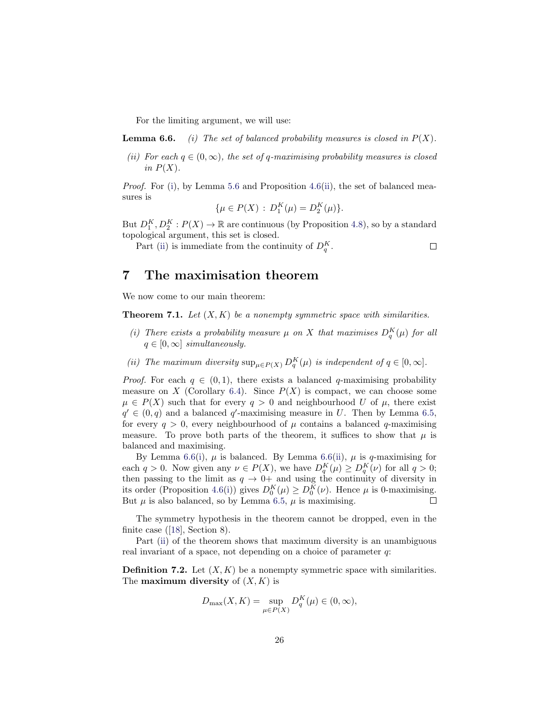For the limiting argument, we will use:

<span id="page-25-2"></span>**Lemma 6.6.** (i) The set of balanced probability measures is closed in  $P(X)$ .

<span id="page-25-3"></span>(ii) For each  $q \in (0,\infty)$ , the set of q-maximising probability measures is closed in  $P(X)$ .

Proof. For [\(i\)](#page-25-2), by Lemma [5.6](#page-20-5) and Proposition [4.6\(](#page-15-0)[ii\)](#page-15-1), the set of balanced measures is

$$
\{\mu \in P(X) : D_1^K(\mu) = D_2^K(\mu)\}.
$$

But  $D_1^K$ ,  $D_2^K$ :  $P(X) \to \mathbb{R}$  are continuous (by Proposition [4.8\)](#page-16-0), so by a standard topological argument, this set is closed.

 $\Box$ 

Part [\(ii\)](#page-25-3) is immediate from the continuity of  $D_q^K$ .

### <span id="page-25-0"></span>7 The maximisation theorem

We now come to our main theorem:

<span id="page-25-1"></span>**Theorem 7.1.** Let  $(X, K)$  be a nonempty symmetric space with similarities.

- (i) There exists a probability measure  $\mu$  on X that maximises  $D_q^K(\mu)$  for all  $q \in [0,\infty]$  simultaneously.
- <span id="page-25-4"></span>(ii) The maximum diversity  $\sup_{\mu \in P(X)} D_q^K(\mu)$  is independent of  $q \in [0, \infty]$ .

*Proof.* For each  $q \in (0,1)$ , there exists a balanced q-maximising probability measure on X (Corollary [6.4\)](#page-24-2). Since  $P(X)$  is compact, we can choose some  $\mu \in P(X)$  such that for every  $q > 0$  and neighbourhood U of  $\mu$ , there exist  $q' \in (0,q)$  and a balanced q'-maximising measure in U. Then by Lemma [6.5,](#page-24-3) for every  $q > 0$ , every neighbourhood of  $\mu$  contains a balanced q-maximising measure. To prove both parts of the theorem, it suffices to show that  $\mu$  is balanced and maximising.

By Lemma [6.6\(](#page-0-1)[i\)](#page-25-2),  $\mu$  is balanced. By Lemma [6.6](#page-0-1)[\(ii\)](#page-25-3),  $\mu$  is q-maximising for each  $q > 0$ . Now given any  $\nu \in P(X)$ , we have  $D_q^K(\mu) \ge D_q^K(\nu)$  for all  $q > 0$ ; then passing to the limit as  $q \to 0^+$  and using the continuity of diversity in its order (Proposition [4.6](#page-15-0)[\(i\)](#page-15-2)) gives  $D_0^K(\mu) \ge D_0^K(\nu)$ . Hence  $\mu$  is 0-maximising. But  $\mu$  is also balanced, so by Lemma [6.5,](#page-24-3)  $\mu$  is maximising.  $\Box$ 

The symmetry hypothesis in the theorem cannot be dropped, even in the finite case ([\[18\]](#page-37-0), Section 8).

Part [\(ii\)](#page-25-4) of the theorem shows that maximum diversity is an unambiguous real invariant of a space, not depending on a choice of parameter  $q$ :

**Definition 7.2.** Let  $(X, K)$  be a nonempty symmetric space with similarities. The **maximum diversity** of  $(X, K)$  is

$$
D_{\max}(X, K) = \sup_{\mu \in P(X)} D_q^K(\mu) \in (0, \infty),
$$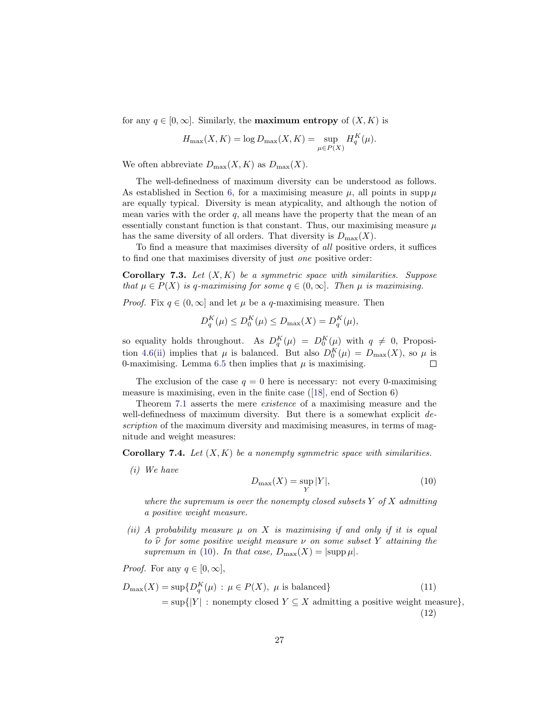for any  $q \in [0, \infty]$ . Similarly, the **maximum entropy** of  $(X, K)$  is

$$
H_{\max}(X,K) = \log D_{\max}(X,K) = \sup_{\mu \in P(X)} H_q^K(\mu).
$$

We often abbreviate  $D_{\text{max}}(X, K)$  as  $D_{\text{max}}(X)$ .

The well-definedness of maximum diversity can be understood as follows. As established in Section [6,](#page-21-0) for a maximising measure  $\mu$ , all points in supp  $\mu$ are equally typical. Diversity is mean atypicality, and although the notion of mean varies with the order  $q$ , all means have the property that the mean of an essentially constant function is that constant. Thus, our maximising measure  $\mu$ has the same diversity of all orders. That diversity is  $D_{\text{max}}(X)$ .

To find a measure that maximises diversity of all positive orders, it suffices to find one that maximises diversity of just one positive order:

<span id="page-26-6"></span>**Corollary 7.3.** Let  $(X, K)$  be a symmetric space with similarities. Suppose that  $\mu \in P(X)$  is q-maximising for some  $q \in (0, \infty]$ . Then  $\mu$  is maximising.

*Proof.* Fix  $q \in (0, \infty]$  and let  $\mu$  be a q-maximising measure. Then

$$
D_q^K(\mu) \le D_0^K(\mu) \le D_{\max}(X) = D_q^K(\mu),
$$

so equality holds throughout. As  $D_q^K(\mu) = D_0^K(\mu)$  with  $q \neq 0$ , Proposi-tion [4.6\(](#page-15-0)[ii\)](#page-15-1) implies that  $\mu$  is balanced. But also  $D_0^K(\mu) = D_{\max}(X)$ , so  $\mu$  is 0-maximising. Lemma [6.5](#page-24-3) then implies that  $\mu$  is maximising.  $\Box$ 

The exclusion of the case  $q = 0$  here is necessary: not every 0-maximising measure is maximising, even in the finite case ([\[18\]](#page-37-0), end of Section 6)

Theorem [7.1](#page-25-1) asserts the mere existence of a maximising measure and the well-definedness of maximum diversity. But there is a somewhat explicit description of the maximum diversity and maximising measures, in terms of magnitude and weight measures:

<span id="page-26-0"></span>**Corollary 7.4.** Let  $(X, K)$  be a nonempty symmetric space with similarities.

<span id="page-26-4"></span>(i) We have

<span id="page-26-3"></span><span id="page-26-2"></span><span id="page-26-1"></span>
$$
D_{\max}(X) = \sup_{Y} |Y|,
$$
\n(10)

where the supremum is over the nonempty closed subsets  $Y$  of  $X$  admitting a positive weight measure.

<span id="page-26-5"></span>(ii) A probability measure  $\mu$  on X is maximising if and only if it is equal to  $\hat{\nu}$  for some positive weight measure  $\nu$  on some subset Y attaining the supremum in [\(10\)](#page-26-1). In that case,  $D_{\text{max}}(X) = |\text{supp }\mu|$ .

*Proof.* For any  $q \in [0, \infty]$ ,

$$
D_{\max}(X) = \sup \{ D_q^K(\mu) : \mu \in P(X), \ \mu \text{ is balanced} \}
$$
\n
$$
= \sup \{ |Y| : \text{nonempty closed } Y \subseteq X \text{ admitting a positive weight measure} \},
$$
\n(12)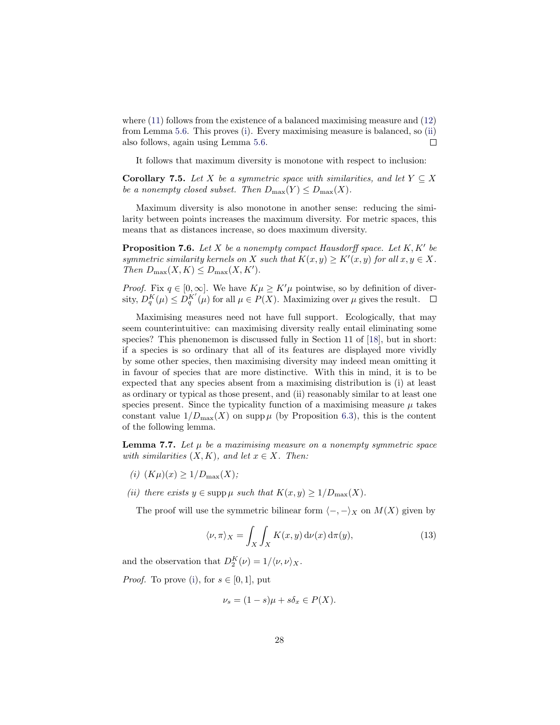where [\(11\)](#page-26-2) follows from the existence of a balanced maximising measure and [\(12\)](#page-26-3) from Lemma [5.6.](#page-20-5) This proves [\(i\)](#page-26-4). Every maximising measure is balanced, so [\(ii\)](#page-26-5) also follows, again using Lemma [5.6.](#page-20-5)  $\Box$ 

It follows that maximum diversity is monotone with respect to inclusion:

**Corollary 7.5.** Let X be a symmetric space with similarities, and let  $Y \subseteq X$ be a nonempty closed subset. Then  $D_{\max}(Y) \leq D_{\max}(X)$ .

Maximum diversity is also monotone in another sense: reducing the similarity between points increases the maximum diversity. For metric spaces, this means that as distances increase, so does maximum diversity.

<span id="page-27-3"></span>**Proposition 7.6.** Let  $X$  be a nonempty compact Hausdorff space. Let  $K, K'$  be symmetric similarity kernels on X such that  $K(x, y) \geq K'(x, y)$  for all  $x, y \in X$ . Then  $D_{\max}(X, K) \leq D_{\max}(X, K')$ .

*Proof.* Fix  $q \in [0,\infty]$ . We have  $K\mu \geq K'\mu$  pointwise, so by definition of diversity,  $D_q^K(\mu) \leq D_q^{K'}(\mu)$  for all  $\mu \in P(X)$ . Maximizing over  $\mu$  gives the result.

Maximising measures need not have full support. Ecologically, that may seem counterintuitive: can maximising diversity really entail eliminating some species? This phenonemon is discussed fully in Section 11 of [\[18\]](#page-37-0), but in short: if a species is so ordinary that all of its features are displayed more vividly by some other species, then maximising diversity may indeed mean omitting it in favour of species that are more distinctive. With this in mind, it is to be expected that any species absent from a maximising distribution is (i) at least as ordinary or typical as those present, and (ii) reasonably similar to at least one species present. Since the typicality function of a maximising measure  $\mu$  takes constant value  $1/D_{\text{max}}(X)$  on supp  $\mu$  (by Proposition [6.3\)](#page-22-1), this is the content of the following lemma.

<span id="page-27-4"></span>**Lemma 7.7.** Let  $\mu$  be a maximising measure on a nonempty symmetric space with similarities  $(X, K)$ , and let  $x \in X$ . Then:

- <span id="page-27-0"></span>(i)  $(K\mu)(x) \geq 1/D_{\max}(X);$
- <span id="page-27-1"></span>(ii) there exists  $y \in \text{supp }\mu$  such that  $K(x, y) \geq 1/D_{\max}(X)$ .

The proof will use the symmetric bilinear form  $\langle -, -\rangle_X$  on  $M(X)$  given by

<span id="page-27-2"></span>
$$
\langle \nu, \pi \rangle_X = \int_X \int_X K(x, y) \, \mathrm{d}\nu(x) \, \mathrm{d}\pi(y),\tag{13}
$$

and the observation that  $D_2^K(\nu) = 1/\langle \nu, \nu \rangle_X$ .

*Proof.* To prove [\(i\)](#page-27-0), for  $s \in [0, 1]$ , put

$$
\nu_s = (1 - s)\mu + s\delta_x \in P(X).
$$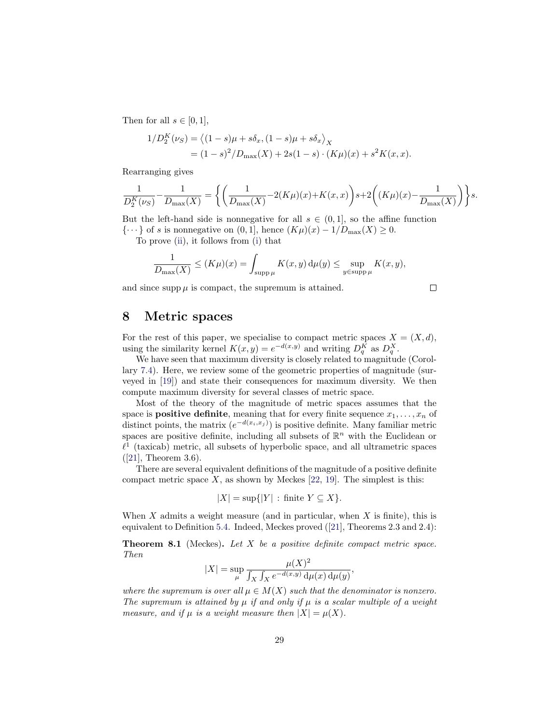Then for all  $s \in [0, 1]$ ,

$$
1/D_2^{K}(\nu_S) = \langle (1 - s)\mu + s\delta_x, (1 - s)\mu + s\delta_x \rangle_X
$$
  
=  $(1 - s)^2/D_{\text{max}}(X) + 2s(1 - s) \cdot (K\mu)(x) + s^2 K(x, x).$ 

Rearranging gives

$$
\frac{1}{D_2^K(\nu_S)} - \frac{1}{D_{\max}(X)} = \left\{ \left( \frac{1}{D_{\max}(X)} - 2(K\mu)(x) + K(x, x) \right) s + 2\left( (K\mu)(x) - \frac{1}{D_{\max}(X)} \right) \right\} s.
$$

But the left-hand side is nonnegative for all  $s \in (0,1]$ , so the affine function  $\{\cdots\}$  of s is nonnegative on  $(0, 1]$ , hence  $(K\mu)(x) - 1/D_{\max}(X) \geq 0$ .

To prove [\(ii\)](#page-27-1), it follows from [\(i\)](#page-27-0) that

$$
\frac{1}{D_{\max}(X)} \le (K\mu)(x) = \int_{\text{supp}\,\mu} K(x,y) \,d\mu(y) \le \sup_{y \in \text{supp}\,\mu} K(x,y),
$$

and since supp  $\mu$  is compact, the supremum is attained.

$$
\Box
$$

### <span id="page-28-0"></span>8 Metric spaces

For the rest of this paper, we specialise to compact metric spaces  $X = (X, d)$ , using the similarity kernel  $K(x, y) = e^{-d(x, y)}$  and writing  $D_q^K$  as  $D_q^X$ .

We have seen that maximum diversity is closely related to magnitude (Corollary [7.4\)](#page-26-0). Here, we review some of the geometric properties of magnitude (surveyed in [\[19\]](#page-37-6)) and state their consequences for maximum diversity. We then compute maximum diversity for several classes of metric space.

Most of the theory of the magnitude of metric spaces assumes that the space is **positive definite**, meaning that for every finite sequence  $x_1, \ldots, x_n$  of distinct points, the matrix  $(e^{-d(x_i,x_j)})$  is positive definite. Many familiar metric spaces are positive definite, including all subsets of  $\mathbb{R}^n$  with the Euclidean or  $\ell^1$  (taxicab) metric, all subsets of hyperbolic space, and all ultrametric spaces ([\[21\]](#page-37-22), Theorem 3.6).

There are several equivalent definitions of the magnitude of a positive definite compact metric space  $X$ , as shown by Meckes [\[22,](#page-37-7) [19\]](#page-37-6). The simplest is this:

$$
|X| = \sup\{|Y| \,:\, \text{finite } Y \subseteq X\}.
$$

When X admits a weight measure (and in particular, when  $X$  is finite), this is equivalent to Definition [5.4.](#page-19-1) Indeed, Meckes proved ([\[21\]](#page-37-22), Theorems 2.3 and 2.4):

<span id="page-28-1"></span>**Theorem 8.1** (Meckes). Let  $X$  be a positive definite compact metric space. Then

$$
|X| = \sup_{\mu} \frac{\mu(X)^2}{\int_X \int_X e^{-d(x,y)} d\mu(x) d\mu(y)},
$$

where the supremum is over all  $\mu \in M(X)$  such that the denominator is nonzero. The supremum is attained by  $\mu$  if and only if  $\mu$  is a scalar multiple of a weight measure, and if  $\mu$  is a weight measure then  $|X| = \mu(X)$ .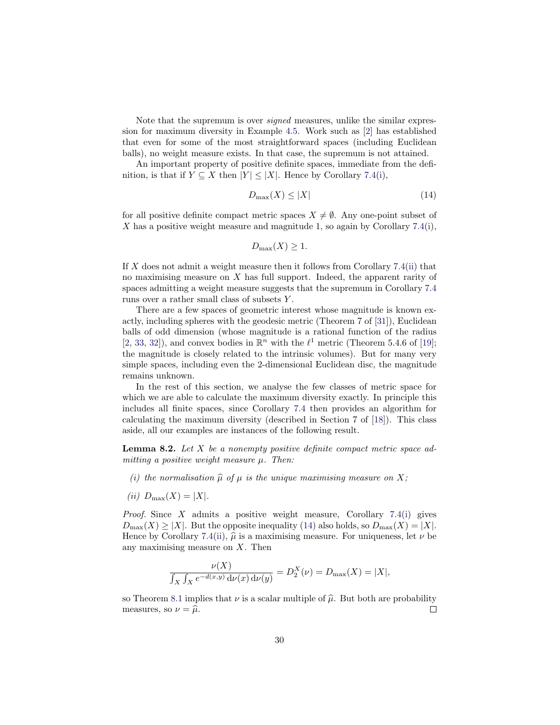Note that the supremum is over *signed* measures, unlike the similar expression for maximum diversity in Example [4.5.](#page-15-4) Work such as [\[2\]](#page-37-12) has established that even for some of the most straightforward spaces (including Euclidean balls), no weight measure exists. In that case, the supremum is not attained.

An important property of positive definite spaces, immediate from the definition, is that if  $Y \subseteq X$  then  $|Y| \leq |X|$ . Hence by Corollary [7.4](#page-26-0)[\(i\)](#page-26-4),

<span id="page-29-0"></span>
$$
D_{\max}(X) \le |X| \tag{14}
$$

for all positive definite compact metric spaces  $X \neq \emptyset$ . Any one-point subset of X has a positive weight measure and magnitude 1, so again by Corollary [7.4\(](#page-26-0)[i\)](#page-26-4),

$$
D_{\max}(X) \ge 1.
$$

If  $X$  does not admit a weight measure then it follows from Corollary [7.4\(](#page-26-0)[ii\)](#page-26-5) that no maximising measure on X has full support. Indeed, the apparent rarity of spaces admitting a weight measure suggests that the supremum in Corollary [7.4](#page-26-0) runs over a rather small class of subsets Y .

There are a few spaces of geometric interest whose magnitude is known exactly, including spheres with the geodesic metric (Theorem 7 of [\[31\]](#page-38-3)), Euclidean balls of odd dimension (whose magnitude is a rational function of the radius [\[2,](#page-37-12) [33,](#page-38-4) [32\]](#page-38-5)), and convex bodies in  $\mathbb{R}^n$  with the  $\ell^1$  metric (Theorem 5.4.6 of [\[19\]](#page-37-6); the magnitude is closely related to the intrinsic volumes). But for many very simple spaces, including even the 2-dimensional Euclidean disc, the magnitude remains unknown.

In the rest of this section, we analyse the few classes of metric space for which we are able to calculate the maximum diversity exactly. In principle this includes all finite spaces, since Corollary [7.4](#page-26-0) then provides an algorithm for calculating the maximum diversity (described in Section 7 of [\[18\]](#page-37-0)). This class aside, all our examples are instances of the following result.

<span id="page-29-1"></span>**Lemma 8.2.** Let  $X$  be a nonempty positive definite compact metric space admitting a positive weight measure  $\mu$ . Then:

- (i) the normalisation  $\hat{\mu}$  of  $\mu$  is the unique maximising measure on X;
- (ii)  $D_{\text{max}}(X) = |X|$ .

*Proof.* Since X admits a positive weight measure, Corollary [7.4\(](#page-26-0)[i\)](#page-26-4) gives  $D_{\text{max}}(X) \geq |X|$ . But the opposite inequality [\(14\)](#page-29-0) also holds, so  $D_{\text{max}}(X) = |X|$ . Hence by Corollary [7.4\(](#page-26-0)[ii\)](#page-26-5),  $\hat{\mu}$  is a maximising measure. For uniqueness, let  $\nu$  be any maximising measure on X. Then

$$
\frac{\nu(X)}{\int_X \int_X e^{-d(x,y)} d\nu(x) d\nu(y)} = D_2^X(\nu) = D_{\max}(X) = |X|,
$$

so Theorem [8.1](#page-28-1) implies that  $\nu$  is a scalar multiple of  $\hat{\mu}$ . But both are probability measures, so  $\nu = \hat{\mu}$ . measures, so  $\nu = \widehat{\mu}$ .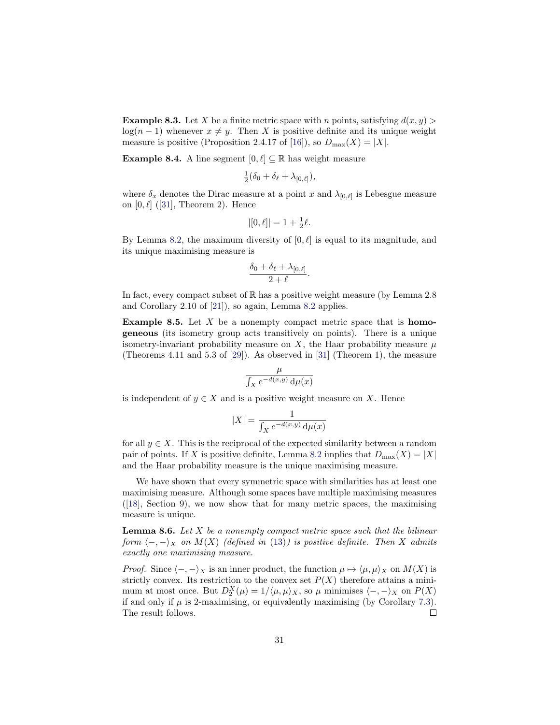<span id="page-30-1"></span>**Example 8.3.** Let X be a finite metric space with n points, satisfying  $d(x, y)$  $log(n-1)$  whenever  $x \neq y$ . Then X is positive definite and its unique weight measure is positive (Proposition 2.4.17 of [\[16\]](#page-37-10)), so  $D_{\text{max}}(X) = |X|$ .

<span id="page-30-3"></span>**Example 8.4.** A line segment  $[0, \ell] \subseteq \mathbb{R}$  has weight measure

$$
\tfrac{1}{2}(\delta_0+\delta_\ell+\lambda_{[0,\ell]}),
$$

where  $\delta_x$  denotes the Dirac measure at a point x and  $\lambda_{[0,\ell]}$  is Lebesgue measure on  $[0, \ell]$  ([\[31\]](#page-38-3), Theorem 2). Hence

$$
|[0,\ell]| = 1 + \frac{1}{2}\ell.
$$

By Lemma [8.2,](#page-29-1) the maximum diversity of  $[0, \ell]$  is equal to its magnitude, and its unique maximising measure is

$$
\frac{\delta_0 + \delta_\ell + \lambda_{[0,\ell]}}{2+\ell}.
$$

In fact, every compact subset of  $\mathbb R$  has a positive weight measure (by Lemma 2.8) and Corollary 2.10 of [\[21\]](#page-37-22)), so again, Lemma [8.2](#page-29-1) applies.

<span id="page-30-2"></span>**Example 8.5.** Let  $X$  be a nonempty compact metric space that is **homo**geneous (its isometry group acts transitively on points). There is a unique isometry-invariant probability measure on  $X$ , the Haar probability measure  $\mu$ (Theorems 4.11 and 5.3 of [\[29\]](#page-38-6)). As observed in [\[31\]](#page-38-3) (Theorem 1), the measure

$$
\frac{\mu}{\int_X e^{-d(x,y)} \, \mathrm{d}\mu(x)}
$$

is independent of  $y \in X$  and is a positive weight measure on X. Hence

$$
|X|=\frac{1}{\int_X e^{-d(x,y)}\,\mathrm{d}\mu(x)}
$$

for all  $y \in X$ . This is the reciprocal of the expected similarity between a random pair of points. If X is positive definite, Lemma [8.2](#page-29-1) implies that  $D_{\text{max}}(X) = |X|$ and the Haar probability measure is the unique maximising measure.

We have shown that every symmetric space with similarities has at least one maximising measure. Although some spaces have multiple maximising measures ([\[18\]](#page-37-0), Section 9), we now show that for many metric spaces, the maximising measure is unique.

<span id="page-30-0"></span>**Lemma 8.6.** Let X be a nonempty compact metric space such that the bilinear form  $\langle -, -\rangle_X$  on  $M(X)$  (defined in [\(13\)](#page-27-2)) is positive definite. Then X admits exactly one maximising measure.

*Proof.* Since  $\langle -, -\rangle_X$  is an inner product, the function  $\mu \mapsto \langle \mu, \mu \rangle_X$  on  $M(X)$  is strictly convex. Its restriction to the convex set  $P(X)$  therefore attains a minimum at most once. But  $D_2^X(\mu) = 1/\langle \mu, \mu \rangle_X$ , so  $\mu$  minimises  $\langle -, -\rangle_X$  on  $P(X)$ if and only if  $\mu$  is 2-maximising, or equivalently maximising (by Corollary [7.3\)](#page-26-6). The result follows.  $\Box$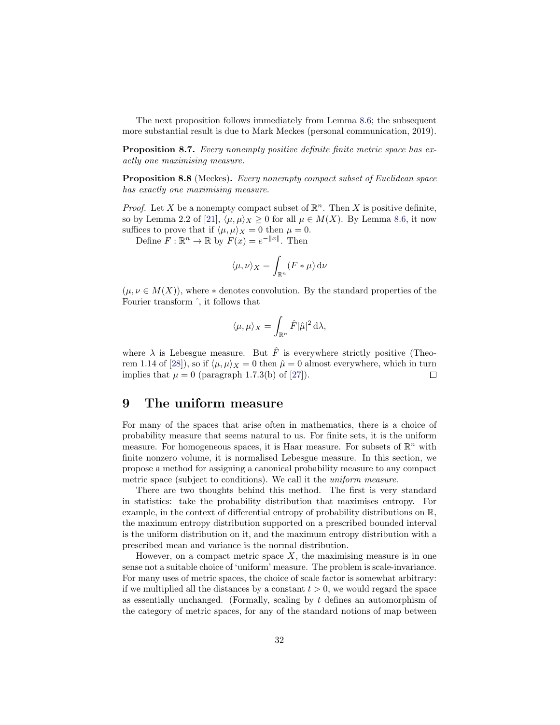The next proposition follows immediately from Lemma [8.6;](#page-30-0) the subsequent more substantial result is due to Mark Meckes (personal communication, 2019).

Proposition 8.7. Every nonempty positive definite finite metric space has exactly one maximising measure.

<span id="page-31-1"></span>**Proposition 8.8** (Meckes). Every nonempty compact subset of Euclidean space has exactly one maximising measure.

*Proof.* Let X be a nonempty compact subset of  $\mathbb{R}^n$ . Then X is positive definite, so by Lemma 2.2 of [\[21\]](#page-37-22),  $\langle \mu, \mu \rangle_X \geq 0$  for all  $\mu \in M(X)$ . By Lemma [8.6,](#page-30-0) it now suffices to prove that if  $\langle \mu, \mu \rangle_X = 0$  then  $\mu = 0$ .

Define  $F: \mathbb{R}^n \to \mathbb{R}$  by  $F(x) = e^{-\|x\|}$ . Then

$$
\langle \mu, \nu \rangle_X = \int_{\mathbb{R}^n} (F * \mu) \, \mathrm{d}\nu
$$

 $(\mu, \nu \in M(X))$ , where  $*$  denotes convolution. By the standard properties of the Fourier transform ˆ, it follows that

$$
\langle \mu, \mu \rangle_X = \int_{\mathbb{R}^n} \hat{F} |\hat{\mu}|^2 \, \mathrm{d}\lambda,
$$

where  $\lambda$  is Lebesgue measure. But  $\hat{F}$  is everywhere strictly positive (Theo-rem 1.14 of [\[28\]](#page-38-7)), so if  $\langle \mu, \mu \rangle_X = 0$  then  $\hat{\mu} = 0$  almost everywhere, which in turn implies that  $\mu = 0$  (paragraph 1.7.3(b) of [\[27\]](#page-38-8)).  $\Box$ 

#### <span id="page-31-0"></span>9 The uniform measure

For many of the spaces that arise often in mathematics, there is a choice of probability measure that seems natural to us. For finite sets, it is the uniform measure. For homogeneous spaces, it is Haar measure. For subsets of  $\mathbb{R}^n$  with finite nonzero volume, it is normalised Lebesgue measure. In this section, we propose a method for assigning a canonical probability measure to any compact metric space (subject to conditions). We call it the uniform measure.

There are two thoughts behind this method. The first is very standard in statistics: take the probability distribution that maximises entropy. For example, in the context of differential entropy of probability distributions on R, the maximum entropy distribution supported on a prescribed bounded interval is the uniform distribution on it, and the maximum entropy distribution with a prescribed mean and variance is the normal distribution.

However, on a compact metric space  $X$ , the maximising measure is in one sense not a suitable choice of 'uniform' measure. The problem is scale-invariance. For many uses of metric spaces, the choice of scale factor is somewhat arbitrary: if we multiplied all the distances by a constant  $t > 0$ , we would regard the space as essentially unchanged. (Formally, scaling by  $t$  defines an automorphism of the category of metric spaces, for any of the standard notions of map between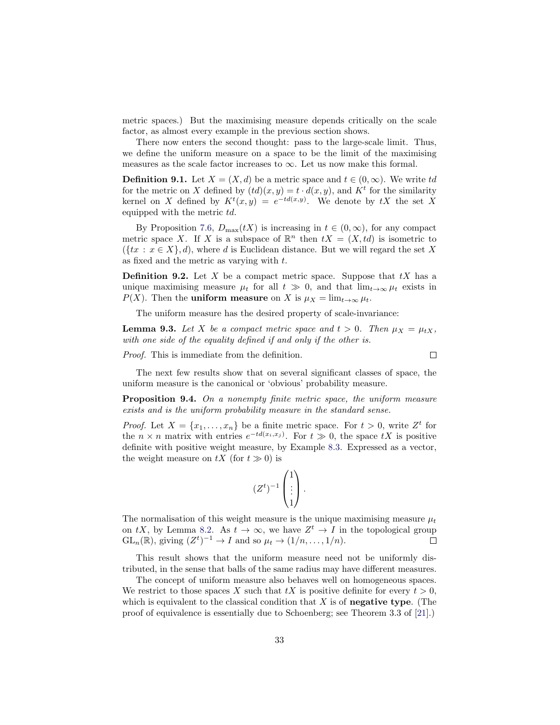metric spaces.) But the maximising measure depends critically on the scale factor, as almost every example in the previous section shows.

There now enters the second thought: pass to the large-scale limit. Thus, we define the uniform measure on a space to be the limit of the maximising measures as the scale factor increases to  $\infty$ . Let us now make this formal.

**Definition 9.1.** Let  $X = (X, d)$  be a metric space and  $t \in (0, \infty)$ . We write td for the metric on X defined by  $(td)(x, y) = t \cdot d(x, y)$ , and  $K<sup>t</sup>$  for the similarity kernel on X defined by  $K^t(x,y) = e^{-td(x,y)}$ . We denote by tX the set X equipped with the metric td.

By Proposition [7.6,](#page-27-3)  $D_{\text{max}}(tX)$  is increasing in  $t \in (0,\infty)$ , for any compact metric space X. If X is a subspace of  $\mathbb{R}^n$  then  $tX = (X, td)$  is isometric to  $({x : x \in X}, d)$ , where d is Euclidean distance. But we will regard the set X as fixed and the metric as varying with t.

**Definition 9.2.** Let X be a compact metric space. Suppose that  $tX$  has a unique maximising measure  $\mu_t$  for all  $t \gg 0$ , and that  $\lim_{t\to\infty} \mu_t$  exists in  $P(X)$ . Then the **uniform measure** on X is  $\mu_X = \lim_{t \to \infty} \mu_t$ .

The uniform measure has the desired property of scale-invariance:

**Lemma 9.3.** Let X be a compact metric space and  $t > 0$ . Then  $\mu_X = \mu_{tX}$ , with one side of the equality defined if and only if the other is.

Proof. This is immediate from the definition.

$$
\qquad \qquad \Box
$$

The next few results show that on several significant classes of space, the uniform measure is the canonical or 'obvious' probability measure.

<span id="page-32-0"></span>Proposition 9.4. On a nonempty finite metric space, the uniform measure exists and is the uniform probability measure in the standard sense.

*Proof.* Let  $X = \{x_1, \ldots, x_n\}$  be a finite metric space. For  $t > 0$ , write  $Z^t$  for the  $n \times n$  matrix with entries  $e^{-td(x_i,x_j)}$ . For  $t \gg 0$ , the space  $tX$  is positive definite with positive weight measure, by Example [8.3.](#page-30-1) Expressed as a vector, the weight measure on  $tX$  (for  $t \gg 0$ ) is

$$
(Z^t)^{-1} \begin{pmatrix} 1 \\ \vdots \\ 1 \end{pmatrix}.
$$

The normalisation of this weight measure is the unique maximising measure  $\mu_t$ on tX, by Lemma [8.2.](#page-29-1) As  $t \to \infty$ , we have  $Z^t \to I$  in the topological group  $GL_n(\mathbb{R})$ , giving  $(Z^t)^{-1} \to I$  and so  $\mu_t \to (1/n, \ldots, 1/n)$ .  $\Box$ 

This result shows that the uniform measure need not be uniformly distributed, in the sense that balls of the same radius may have different measures.

The concept of uniform measure also behaves well on homogeneous spaces. We restrict to those spaces X such that  $tX$  is positive definite for every  $t > 0$ , which is equivalent to the classical condition that  $X$  is of negative type. (The proof of equivalence is essentially due to Schoenberg; see Theorem 3.3 of [\[21\]](#page-37-22).)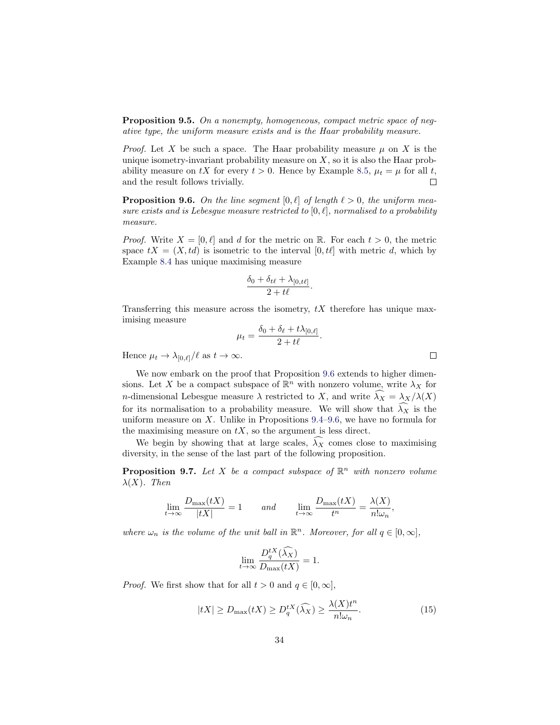Proposition 9.5. On a nonempty, homogeneous, compact metric space of negative type, the uniform measure exists and is the Haar probability measure.

*Proof.* Let X be such a space. The Haar probability measure  $\mu$  on X is the unique isometry-invariant probability measure on  $X$ , so it is also the Haar probability measure on tX for every  $t > 0$ . Hence by Example [8.5,](#page-30-2)  $\mu_t = \mu$  for all t, and the result follows trivially.  $\Box$ 

<span id="page-33-1"></span>**Proposition 9.6.** On the line segment  $[0, \ell]$  of length  $\ell > 0$ , the uniform measure exists and is Lebesgue measure restricted to  $[0, \ell]$ , normalised to a probability measure.

*Proof.* Write  $X = [0, \ell]$  and d for the metric on R. For each  $t > 0$ , the metric space  $tX = (X, td)$  is isometric to the interval  $[0, td]$  with metric d, which by Example [8.4](#page-30-3) has unique maximising measure

$$
\frac{\delta_0 + \delta_{t\ell} + \lambda_{[0,t\ell]}}{2 + t\ell}.
$$

Transferring this measure across the isometry,  $tX$  therefore has unique maximising measure

$$
\mu_t = \frac{\delta_0 + \delta_\ell + t\lambda_{[0,\ell]}}{2 + t\ell}.
$$

Hence  $\mu_t \to \lambda_{[0,\ell]}/\ell$  as  $t \to \infty$ .

We now embark on the proof that Proposition [9.6](#page-33-1) extends to higher dimensions. Let X be a compact subspace of  $\mathbb{R}^n$  with nonzero volume, write  $\lambda_X$  for *n*-dimensional Lebesgue measure  $\lambda$  restricted to X, and write  $\lambda_X = \lambda_X/\lambda(X)$ for its normalisation to a probability measure. We will show that  $\tilde{\lambda}_X$  is the uniform measure on X. Unlike in Propositions  $9.4-9.6$ , we have no formula for the maximising measure on  $tX$ , so the argument is less direct.

We begin by showing that at large scales,  $\widehat{\lambda}_X$  comes close to maximising diversity, in the sense of the last part of the following proposition.

<span id="page-33-0"></span>**Proposition 9.7.** Let X be a compact subspace of  $\mathbb{R}^n$  with nonzero volume  $\lambda(X)$ . Then

$$
\lim_{t \to \infty} \frac{D_{\max}(tX)}{|tX|} = 1 \quad \text{and} \quad \lim_{t \to \infty} \frac{D_{\max}(tX)}{t^n} = \frac{\lambda(X)}{n! \omega_n},
$$

where  $\omega_n$  is the volume of the unit ball in  $\mathbb{R}^n$ . Moreover, for all  $q \in [0, \infty]$ ,

$$
\lim_{t \to \infty} \frac{D_q^{tX}(\widehat{\lambda}_X)}{D_{\text{max}}(tX)} = 1.
$$

*Proof.* We first show that for all  $t > 0$  and  $q \in [0, \infty]$ ,

<span id="page-33-2"></span>
$$
|tX| \ge D_{\max}(tX) \ge D_q^{tX}(\widehat{\lambda_X}) \ge \frac{\lambda(X)t^n}{n!\omega_n}.
$$
 (15)

 $\Box$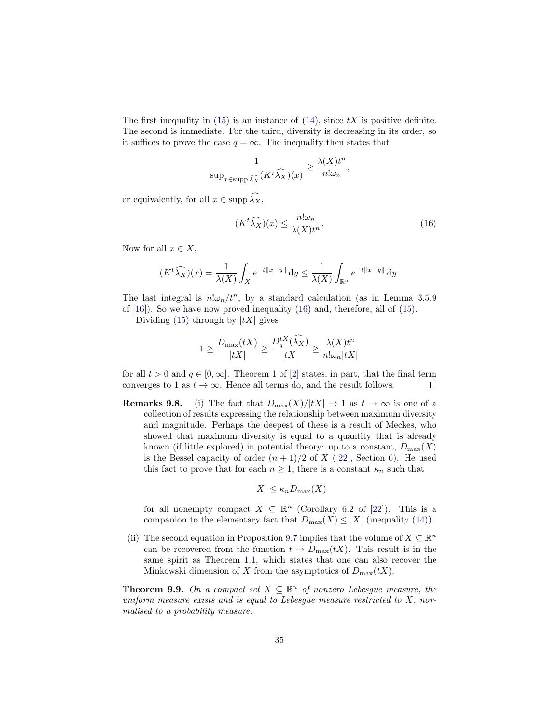The first inequality in [\(15\)](#page-33-2) is an instance of [\(14\)](#page-29-0), since  $tX$  is positive definite. The second is immediate. For the third, diversity is decreasing in its order, so it suffices to prove the case  $q = \infty$ . The inequality then states that

$$
\frac{1}{\sup_{x \in \text{supp} \widehat{\lambda_X}} (K^t \widehat{\lambda_X})(x)} \ge \frac{\lambda(X)t^n}{n! \omega_n},
$$

or equivalently, for all  $x \in \text{supp }\widehat{\lambda_X}$ ,

<span id="page-34-1"></span>
$$
(Kt\widehat{\lambda_X})(x) \le \frac{n!\omega_n}{\lambda(X)t^n}.\tag{16}
$$

Now for all  $x \in X$ ,

$$
(Kt\widehat{\lambda_X})(x) = \frac{1}{\lambda(X)} \int_X e^{-t||x-y||} \, dy \le \frac{1}{\lambda(X)} \int_{\mathbb{R}^n} e^{-t||x-y||} \, dy.
$$

The last integral is  $n! \omega_n / t^n$ , by a standard calculation (as in Lemma 3.5.9) of  $[16]$ . So we have now proved inequality [\(16\)](#page-34-1) and, therefore, all of [\(15\)](#page-33-2).

Dividing [\(15\)](#page-33-2) through by  $|tX|$  gives

$$
1 \ge \frac{D_{\max}(tX)}{|tX|} \ge \frac{D_q^{tX}(\hat{\lambda}_X)}{|tX|} \ge \frac{\lambda(X)t^n}{n!\omega_n|tX|}
$$

for all  $t > 0$  and  $q \in [0, \infty]$ . Theorem 1 of [\[2\]](#page-37-12) states, in part, that the final term converges to 1 as  $t \to \infty$ . Hence all terms do, and the result follows.  $\Box$ 

<span id="page-34-0"></span>**Remarks 9.8.** (i) The fact that  $D_{\max}(X)/|tX| \to 1$  as  $t \to \infty$  is one of a collection of results expressing the relationship between maximum diversity and magnitude. Perhaps the deepest of these is a result of Meckes, who showed that maximum diversity is equal to a quantity that is already known (if little explored) in potential theory: up to a constant,  $D_{\text{max}}(X)$ is the Bessel capacity of order  $(n + 1)/2$  of X ([\[22\]](#page-37-7), Section 6). He used this fact to prove that for each  $n \geq 1$ , there is a constant  $\kappa_n$  such that

$$
|X| \le \kappa_n D_{\max}(X)
$$

for all nonempty compact  $X \subseteq \mathbb{R}^n$  (Corollary 6.2 of [\[22\]](#page-37-7)). This is a companion to the elementary fact that  $D_{\max}(X) \leq |X|$  (inequality [\(14\)](#page-29-0)).

(ii) The second equation in Proposition [9.7](#page-33-0) implies that the volume of  $X \subseteq \mathbb{R}^n$ can be recovered from the function  $t \mapsto D_{\max}(tX)$ . This result is in the same spirit as Theorem [1.1,](#page-4-0) which states that one can also recover the Minkowski dimension of X from the asymptotics of  $D_{\text{max}}(tX)$ .

**Theorem 9.9.** On a compact set  $X \subseteq \mathbb{R}^n$  of nonzero Lebesgue measure, the uniform measure exists and is equal to Lebesgue measure restricted to  $X$ , normalised to a probability measure.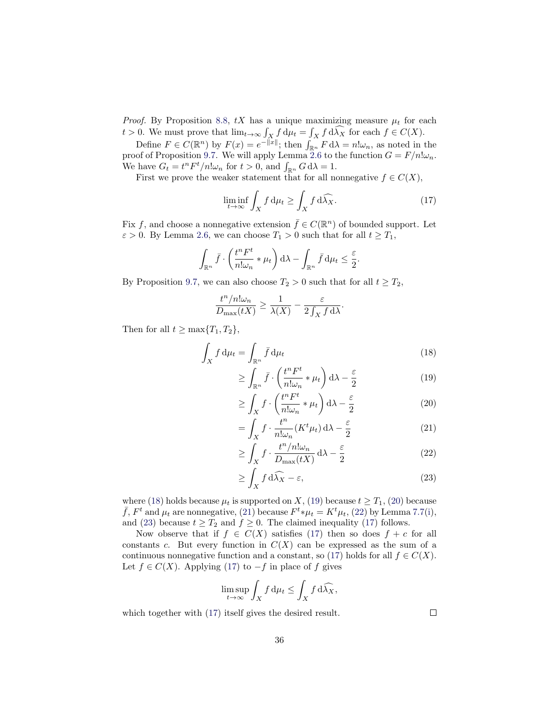*Proof.* By Proposition [8.8,](#page-31-1)  $tX$  has a unique maximizing measure  $\mu_t$  for each  $t > 0$ . We must prove that  $\lim_{t \to \infty} \int_X f d\mu_t = \int_X f d\lambda_X$  for each  $f \in C(X)$ .

Define  $F \in C(\mathbb{R}^n)$  by  $F(x) = e^{-\|\bar{x}\|}$ ; then  $\int_{\mathbb{R}^n} F d\lambda = n! \omega_n$ , as noted in the proof of Proposition [9.7.](#page-33-0) We will apply Lemma [2.6](#page-8-1) to the function  $G = F/n! \omega_n$ . We have  $G_t = t^n F^t/n! \omega_n$  for  $t > 0$ , and  $\int_{\mathbb{R}^n} G \, d\lambda = 1$ .

First we prove the weaker statement that for all nonnegative  $f \in C(X)$ ,

<span id="page-35-6"></span>
$$
\liminf_{t \to \infty} \int_X f d\mu_t \ge \int_X f d\widehat{\lambda_X}.\tag{17}
$$

Fix f, and choose a nonnegative extension  $\bar{f} \in C(\mathbb{R}^n)$  of bounded support. Let  $\varepsilon > 0$ . By Lemma [2.6,](#page-8-1) we can choose  $T_1 > 0$  such that for all  $t \geq T_1$ ,

$$
\int_{\mathbb{R}^n} \bar{f} \cdot \left( \frac{t^n F^t}{n! \omega_n} * \mu_t \right) d\lambda - \int_{\mathbb{R}^n} \bar{f} \, d\mu_t \leq \frac{\varepsilon}{2}.
$$

By Proposition [9.7,](#page-33-0) we can also choose  $T_2 > 0$  such that for all  $t \geq T_2$ ,

$$
\frac{t^n/n!\omega_n}{D_{\max}(tX)} \ge \frac{1}{\lambda(X)} - \frac{\varepsilon}{2\int_X f \,d\lambda}.
$$

Then for all  $t \geq \max\{T_1, T_2\}$ ,

$$
\int_{X} f d\mu_{t} = \int_{\mathbb{R}^{n}} \bar{f} d\mu_{t}
$$
\n
$$
\int_{\mathcal{L}} f d\mu_{t} = \int_{\mathcal{L}} f d\mu_{t}
$$
\n
$$
\int_{\mathcal{L}} f d\mu_{t} = \int_{\mathcal{L}} f d\mu_{t}
$$
\n
$$
\tag{18}
$$

$$
\geq \int_{\mathbb{R}^n} \bar{f} \cdot \left( \frac{t^n F^t}{n! \omega_n} * \mu_t \right) d\lambda - \frac{\varepsilon}{2} \tag{19}
$$

<span id="page-35-3"></span><span id="page-35-2"></span><span id="page-35-1"></span><span id="page-35-0"></span>
$$
\geq \int_X f \cdot \left(\frac{t^n F^t}{n! \omega_n} * \mu_t\right) d\lambda - \frac{\varepsilon}{2} \tag{20}
$$

$$
= \int_X f \cdot \frac{t^n}{n! \omega_n} (K^t \mu_t) \, d\lambda - \frac{\varepsilon}{2} \tag{21}
$$

$$
\geq \int_X f \cdot \frac{t^n/n!\omega_n}{D_{\max}(tX)} d\lambda - \frac{\varepsilon}{2}
$$
 (22)

$$
\geq \int_X f \, d\widehat{\lambda_X} - \varepsilon,\tag{23}
$$

where [\(18\)](#page-35-0) holds because  $\mu_t$  is supported on X, [\(19\)](#page-35-1) because  $t \geq T_1$ , [\(20\)](#page-35-2) because  $\bar{f}$ ,  $F^t$  and  $\mu_t$  are nonnegative, [\(21\)](#page-35-3) because  $F^t * \mu_t = K^t \mu_t$ , [\(22\)](#page-35-4) by Lemma [7.7](#page-27-4)[\(i\)](#page-27-0), and [\(23\)](#page-35-5) because  $t \geq T_2$  and  $f \geq 0$ . The claimed inequality [\(17\)](#page-35-6) follows.

Now observe that if  $f \in C(X)$  satisfies [\(17\)](#page-35-6) then so does  $f + c$  for all constants  $c$ . But every function in  $C(X)$  can be expressed as the sum of a continuous nonnegative function and a constant, so [\(17\)](#page-35-6) holds for all  $f \in C(X)$ . Let  $f \in C(X)$ . Applying [\(17\)](#page-35-6) to  $-f$  in place of f gives

$$
\limsup_{t \to \infty} \int_X f \, \mathrm{d}\mu_t \le \int_X f \, \mathrm{d}\widehat{\lambda_X},
$$

which together with [\(17\)](#page-35-6) itself gives the desired result.

<span id="page-35-5"></span><span id="page-35-4"></span> $\Box$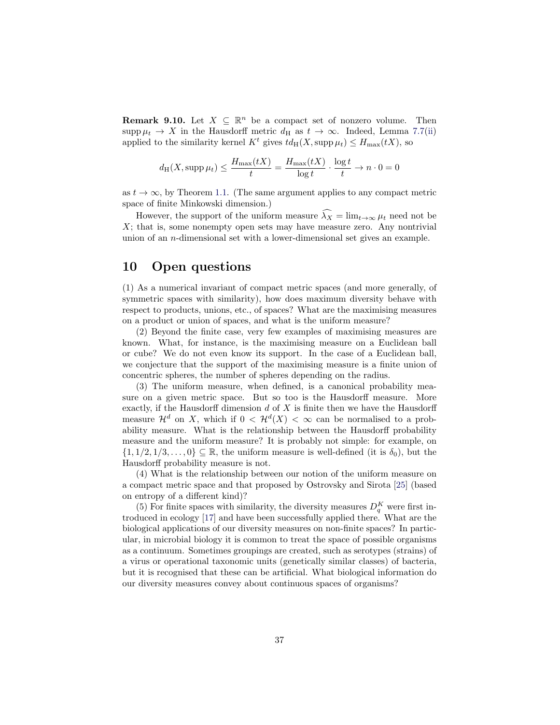**Remark 9.10.** Let  $X \subseteq \mathbb{R}^n$  be a compact set of nonzero volume. Then supp  $\mu_t \to X$  in the Hausdorff metric  $d_H$  as  $t \to \infty$ . Indeed, Lemma [7.7](#page-27-4)[\(ii\)](#page-27-1) applied to the similarity kernel  $K^t$  gives  $td_H(X, \text{supp }\mu_t) \leq H_{\text{max}}(tX)$ , so

$$
d_{\mathrm{H}}(X, \mathrm{supp}\,\mu_t) \le \frac{H_{\max}(tX)}{t} = \frac{H_{\max}(tX)}{\log t} \cdot \frac{\log t}{t} \to n \cdot 0 = 0
$$

as  $t \to \infty$ , by Theorem [1.1.](#page-4-0) (The same argument applies to any compact metric space of finite Minkowski dimension.)

However, the support of the uniform measure  $\widehat{\lambda_X} = \lim_{t \to \infty} \mu_t$  need not be  $X$ ; that is, some nonempty open sets may have measure zero. Any nontrivial union of an n-dimensional set with a lower-dimensional set gives an example.

### <span id="page-36-0"></span>10 Open questions

(1) As a numerical invariant of compact metric spaces (and more generally, of symmetric spaces with similarity), how does maximum diversity behave with respect to products, unions, etc., of spaces? What are the maximising measures on a product or union of spaces, and what is the uniform measure?

(2) Beyond the finite case, very few examples of maximising measures are known. What, for instance, is the maximising measure on a Euclidean ball or cube? We do not even know its support. In the case of a Euclidean ball, we conjecture that the support of the maximising measure is a finite union of concentric spheres, the number of spheres depending on the radius.

(3) The uniform measure, when defined, is a canonical probability measure on a given metric space. But so too is the Hausdorff measure. More exactly, if the Hausdorff dimension  $d$  of  $X$  is finite then we have the Hausdorff measure  $\mathcal{H}^d$  on X, which if  $0 < \mathcal{H}^d(X) < \infty$  can be normalised to a probability measure. What is the relationship between the Hausdorff probability measure and the uniform measure? It is probably not simple: for example, on  $\{1, 1/2, 1/3, \ldots, 0\} \subseteq \mathbb{R}$ , the uniform measure is well-defined (it is  $\delta_0$ ), but the Hausdorff probability measure is not.

(4) What is the relationship between our notion of the uniform measure on a compact metric space and that proposed by Ostrovsky and Sirota [\[25\]](#page-38-9) (based on entropy of a different kind)?

(5) For finite spaces with similarity, the diversity measures  $D_q^K$  were first introduced in ecology [\[17\]](#page-37-1) and have been successfully applied there. What are the biological applications of our diversity measures on non-finite spaces? In particular, in microbial biology it is common to treat the space of possible organisms as a continuum. Sometimes groupings are created, such as serotypes (strains) of a virus or operational taxonomic units (genetically similar classes) of bacteria, but it is recognised that these can be artificial. What biological information do our diversity measures convey about continuous spaces of organisms?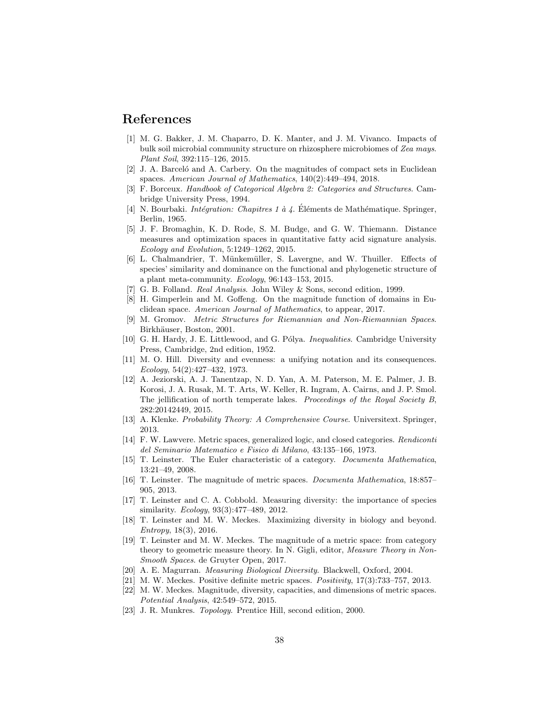#### References

- <span id="page-37-2"></span>[1] M. G. Bakker, J. M. Chaparro, D. K. Manter, and J. M. Vivanco. Impacts of bulk soil microbial community structure on rhizosphere microbiomes of Zea mays. Plant Soil, 392:115–126, 2015.
- <span id="page-37-12"></span>[2] J. A. Barcelo and A. Carbery. On the magnitudes of compact sets in Euclidean spaces. American Journal of Mathematics, 140(2):449–494, 2018.
- <span id="page-37-15"></span>[3] F. Borceux. Handbook of Categorical Algebra 2: Categories and Structures. Cambridge University Press, 1994.
- <span id="page-37-16"></span>[4] N. Bourbaki. *Intégration: Chapitres 1 à 4*. Éléments de Mathématique. Springer, Berlin, 1965.
- <span id="page-37-5"></span>[5] J. F. Bromaghin, K. D. Rode, S. M. Budge, and G. W. Thiemann. Distance measures and optimization spaces in quantitative fatty acid signature analysis. Ecology and Evolution, 5:1249–1262, 2015.
- <span id="page-37-4"></span>[6] L. Chalmandrier, T. Münkemüller, S. Lavergne, and W. Thuiller. Effects of species' similarity and dominance on the functional and phylogenetic structure of a plant meta-community.  $Ecology$ ,  $96:143-153$ ,  $2015$ .
- <span id="page-37-17"></span>[7] G. B. Folland. Real Analysis. John Wiley & Sons, second edition, 1999.
- <span id="page-37-13"></span>[8] H. Gimperlein and M. Goffeng. On the magnitude function of domains in Euclidean space. American Journal of Mathematics, to appear, 2017.
- <span id="page-37-21"></span>[9] M. Gromov. Metric Structures for Riemannian and Non-Riemannian Spaces. Birkhäuser, Boston, 2001.
- <span id="page-37-18"></span>[10] G. H. Hardy, J. E. Littlewood, and G. Pólya. *Inequalities*. Cambridge University Press, Cambridge, 2nd edition, 1952.
- <span id="page-37-8"></span>[11] M. O. Hill. Diversity and evenness: a unifying notation and its consequences. Ecology, 54(2):427–432, 1973.
- <span id="page-37-3"></span>[12] A. Jeziorski, A. J. Tanentzap, N. D. Yan, A. M. Paterson, M. E. Palmer, J. B. Korosi, J. A. Rusak, M. T. Arts, W. Keller, R. Ingram, A. Cairns, and J. P. Smol. The jellification of north temperate lakes. Proceedings of the Royal Society B, 282:20142449, 2015.
- <span id="page-37-19"></span>[13] A. Klenke. Probability Theory: A Comprehensive Course. Universitext. Springer, 2013.
- <span id="page-37-11"></span>[14] F. W. Lawvere. Metric spaces, generalized logic, and closed categories. Rendiconti del Seminario Matematico e Fisico di Milano, 43:135–166, 1973.
- <span id="page-37-9"></span>[15] T. Leinster. The Euler characteristic of a category. Documenta Mathematica, 13:21–49, 2008.
- <span id="page-37-10"></span>[16] T. Leinster. The magnitude of metric spaces. Documenta Mathematica, 18:857– 905, 2013.
- <span id="page-37-1"></span>[17] T. Leinster and C. A. Cobbold. Measuring diversity: the importance of species similarity. *Ecology*, 93(3):477–489, 2012.
- <span id="page-37-0"></span>[18] T. Leinster and M. W. Meckes. Maximizing diversity in biology and beyond. Entropy, 18(3), 2016.
- <span id="page-37-6"></span>[19] T. Leinster and M. W. Meckes. The magnitude of a metric space: from category theory to geometric measure theory. In N. Gigli, editor, Measure Theory in Non-Smooth Spaces. de Gruyter Open, 2017.
- <span id="page-37-20"></span>[20] A. E. Magurran. Measuring Biological Diversity. Blackwell, Oxford, 2004.
- <span id="page-37-22"></span>[21] M. W. Meckes. Positive definite metric spaces. Positivity, 17(3):733–757, 2013.
- <span id="page-37-7"></span>[22] M. W. Meckes. Magnitude, diversity, capacities, and dimensions of metric spaces. Potential Analysis, 42:549–572, 2015.
- <span id="page-37-14"></span>[23] J. R. Munkres. Topology. Prentice Hill, second edition, 2000.